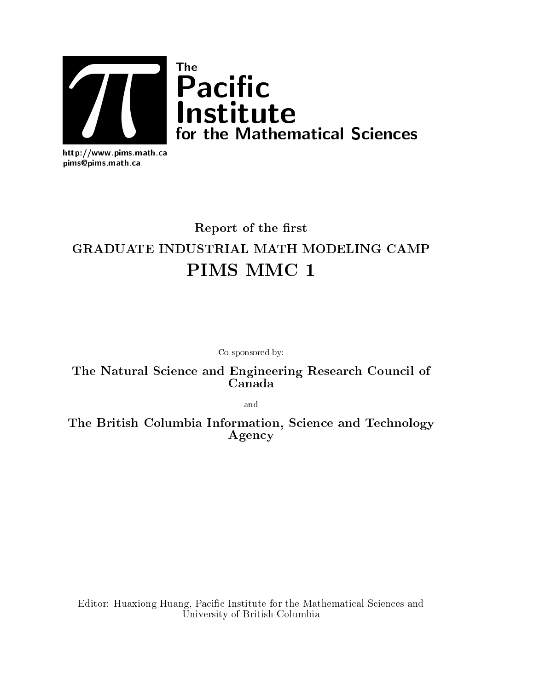

http://www.pims.math.ca pims@pims.math.ca

# Report of the first GRADUATE INDUSTRIAL MATH MODELING CAMP PIMS MMC <sup>1</sup>

Co-sponsored by:

The Natural Science and Engineering Research Council of Canada

and

The British Columbia Information, Science and Technology Agency

Editor: Huaxiong Huang, Pacic Institute for the Mathematical Sciences and University of British Columbia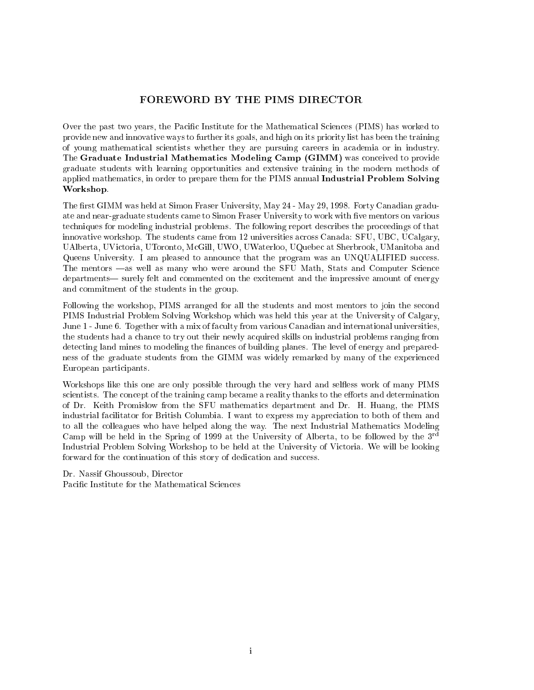## FOREWORD BY THE PIMS DIRECTOR

Over the past two years, the Pacic Institute for the Mathematical Sciences (PIMS) has worked to provide new and innovative ways to further its goals, and high on its priority list has been the training of young mathematical scientists whether they are pursuing careers in academia or in industry. The Graduate Industrial Mathematics Modeling Camp (GIMM) was conceived to provide graduate students with learning opportunities and extensive training in the modern methods of applied mathematics, in order to prepare them for the PIMS annual Industrial Problem Solving Workshop.

The first GIMM was held at Simon Fraser University, May 24 - May 29, 1998. Forty Canadian graduate and near-graduate students came to Simon Fraser University to work with five mentors on various techniques for modeling industrial problems. The following report describes the proceedings of that innovative workshop. The students came from 12 universities across Canada: SFU, UBC, UCalgary, UAlberta, UVictoria, UToronto, McGill, UWO, UWaterloo, UQuebec at Sherbrook, UManitoba and Queens University. I am pleased to announce that the program was an UNQUALIFIED success. The mentors  $\text{--as}$  well as many who were around the SFU Math, Stats and Computer Science departments— surely felt and commented on the excitement and the impressive amount of energy and commitment of the students in the group.

Following the workshop, PIMS arranged for all the students and most mentors to join the second PIMS Industrial Problem Solving Workshop which was held this year at the University of Calgary, June <sup>1</sup> - June 6. Together with <sup>a</sup> mix of faculty from various Canadian and international universities, the students had a chance to try out their newly acquired skills on industrial problems ranging from detecting land mines to modeling the finances of building planes. The level of energy and preparedness of the graduate students from the GIMM was widely remarked by many of the experienced European participants.

Workshops like this one are only possible through the very hard and selfless work of many PIMS scientists. The concept of the training camp became a reality thanks to the efforts and determination of Dr. Keith Promislow from the SFU mathematics department and Dr. H. Huang, the PIMS industrial facilitator for British Columbia. I want to express my appreciation to both of them and to all the colleagues who have helped along the way. The next Industrial Mathematics Modeling Camp will be held in the Spring of 1999 at the University of Alberta, to be followed by the  $3^{rd}$ Industrial Problem Solving Workshop to be held at the University of Victoria. We will be looking forward for the continuation of this story of dedication and success.

Dr. Nassif Ghoussoub, Director Pacic Institute for the Mathematical Sciences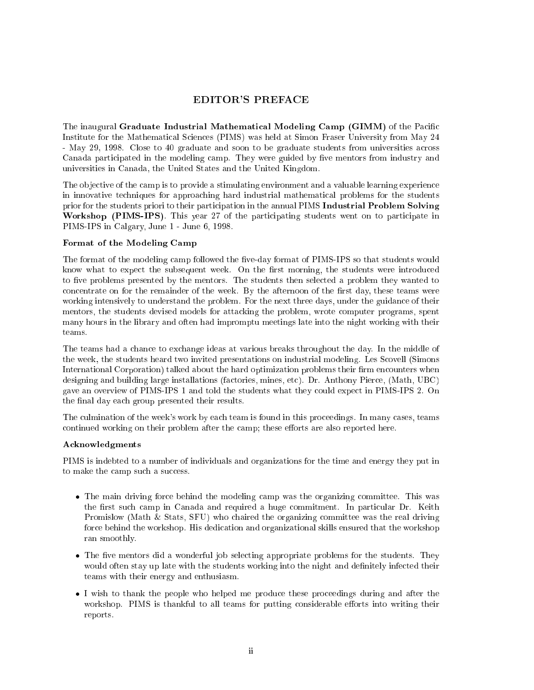## EDITOR'S PREFACE

The inaugural Graduate Industrial Mathematical Modeling Camp (GIMM) of the Pacic Institute for the Mathematical Sciences (PIMS) was held at Simon Fraser University from May 24 - May 29, 1998. Close to 40 graduate and soon to be graduate students from universities across Canada participated in the modeling camp. They were guided by five mentors from industry and universities in Canada, the United States and the United Kingdom.

The objective of the camp is to provide a stimulating environment and a valuable learning experience in innovative techniques for approaching hard industrial mathematical problems for the students prior for the students priori to their participation in the annual PIMS Industrial Problem Solving Workshop (PIMS-IPS). This year <sup>27</sup> of the participating students went on to participate in PIMS-IPS in Calgary, June 1 - June 6, 1998.

#### Format of the Modeling Camp

The format of the modeling camp followed the five-day format of PIMS-IPS so that students would know what to expect the subsequent week. On the first morning, the students were introduced to five problems presented by the mentors. The students then selected a problem they wanted to concentrate on for the remainder of the week. By the afternoon of the first day, these teams were working intensively to understand the problem. For the next three days, under the guidance of their mentors, the students devised models for attacking the problem, wrote computer programs, spent many hours in the library and often had impromptu meetings late into the night working with their teams.

The teams had a chance to exchange ideas at various breaks throughout the day. In the middle of the week, the students heard two invited presentations on industrial modeling. Les Scovell (Simons International Corporation) talked about the hard optimization problems their firm encounters when designing and building large installations (factories, mines, etc). Dr. Anthony Pierce, (Math, UBC) gave an overview of PIMS-IPS 1 and told the students what they could expect in PIMS-IPS 2. On the final day each group presented their results.

The culmination of the week's work by each team is found in this proceedings. In many cases, teams continued working on their problem after the camp; these efforts are also reported here.

#### Acknowledgments

PIMS is indebted to a number of individuals and organizations for the time and energy they put in to make the camp such a success.

- The main driving force behind the modeling camp was the organizing committee. This was the first such camp in Canada and required a huge commitment. In particular Dr. Keith Promislow (Math & Stats, SFU) who chaired the organizing committee was the real driving force behind the workshop. His dedication and organizational skills ensured that the workshop ran smoothly. ran smoothly.
- The five mentors did a wonderful job selecting appropriate problems for the students. They would often stay up late with the students working into the night and definitely infected their teams with their energy and enthusiasm.
- I wish to thank the people who helped me produce these proceedings during and after the workshop. PIMS is thankful to all teams for putting considerable efforts into writing their reports.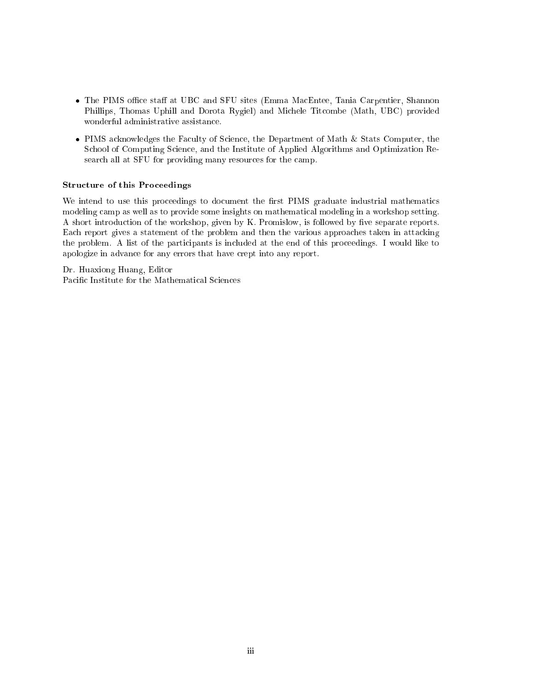- The PIMS office staff at UBC and SFU sites (Emma MacEntee, Tania Carpentier, Shannon Phillips, Thomas Uphill and Dorota Rygiel) and Michele Titcombe (Math, UBC) provided wonderful administrative assistance.
- PIMS acknowledges the Faculty of Science, the Department of Math & Stats Computer, the School of Computing Science, and the Institute of Applied Algorithms and Optimization Research all at SFU for providing many resources for the camp.

#### Structure of this Proceedings

We intend to use this proceedings to document the first PIMS graduate industrial mathematics modeling camp as well as to provide some insights on mathematical modeling in a workshop setting. A short introduction of the workshop, given by K. Promislow, is followed by five separate reports. Each report gives a statement of the problem and then the various approaches taken in attacking the problem. A list of the participants is included at the end of this proceedings. I would like to apologize in advance for any errors that have crept into any report.

Dr. Huaxiong Huang, Editor Pacic Institute for the Mathematical Sciences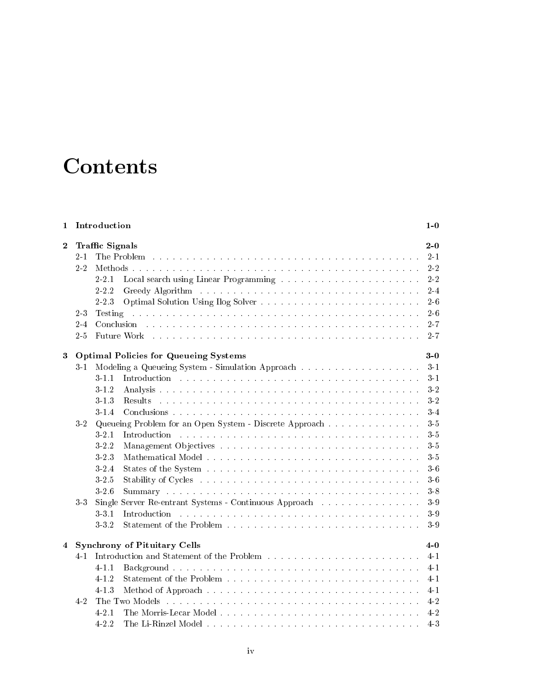# **Contents**

| $\mathbf{1}$   | Introduction                           |                                                                                                                                                                                                                                                                                                                                                                                                                                                                                                                                                                                                                                                                                                                                                                                                                                                                                                           |                                                                                                 |
|----------------|----------------------------------------|-----------------------------------------------------------------------------------------------------------------------------------------------------------------------------------------------------------------------------------------------------------------------------------------------------------------------------------------------------------------------------------------------------------------------------------------------------------------------------------------------------------------------------------------------------------------------------------------------------------------------------------------------------------------------------------------------------------------------------------------------------------------------------------------------------------------------------------------------------------------------------------------------------------|-------------------------------------------------------------------------------------------------|
| $\bf{2}$       | $2 - 1$<br>2.2<br>23<br>$2 - 4$<br>2.5 | <b>Traffic Signals</b><br>The Problem enterpreteration of the contract of the contract of the Problem enterpreteration of the Problem of The Problem of the Problem of the Problem of the Problem of the Problem of The Problem of The Problem of The Pr<br>$2 - 2.1$<br>$2 - 2.2$<br>$2 - 2.3$<br>.<br>The most model in the most model in the most model in the most model in the most model in the most model in th<br>Testing<br>Conclusion and a contract of the contract of the contract of the contract of the contract of the contract of the contract of the contract of the contract of the contract of the contract of the contract of the contract of t<br><b>Future Work</b> by the contract of the contract of the contract of the contract of the contract of the contract of the contract of the contract of the contract of the contract of the contract of the contract of the contract | $2-0$<br>$2 - 1$<br>2 2<br>$2\,$ $2\,$<br>$2-4$<br>$2\hbox{--}6$<br>$2-6$<br>$2 - 7$<br>$2 - 7$ |
| 3              |                                        | <b>Optimal Policies for Queueing Systems</b>                                                                                                                                                                                                                                                                                                                                                                                                                                                                                                                                                                                                                                                                                                                                                                                                                                                              | $3-0$                                                                                           |
|                | 31                                     | Modeling a Queueing System - Simulation Approach                                                                                                                                                                                                                                                                                                                                                                                                                                                                                                                                                                                                                                                                                                                                                                                                                                                          | $3-1$                                                                                           |
|                |                                        | 311                                                                                                                                                                                                                                                                                                                                                                                                                                                                                                                                                                                                                                                                                                                                                                                                                                                                                                       | $3 - 1$                                                                                         |
|                |                                        | $3 \cdot 1 \cdot 2$                                                                                                                                                                                                                                                                                                                                                                                                                                                                                                                                                                                                                                                                                                                                                                                                                                                                                       | $3\!\cdot\!2$                                                                                   |
|                |                                        | $3 - 1.3$                                                                                                                                                                                                                                                                                                                                                                                                                                                                                                                                                                                                                                                                                                                                                                                                                                                                                                 | $3-2$                                                                                           |
|                |                                        | $3 - 1.4$                                                                                                                                                                                                                                                                                                                                                                                                                                                                                                                                                                                                                                                                                                                                                                                                                                                                                                 | $3-4$                                                                                           |
|                | 32                                     | Queueing Problem for an Open System - Discrete Approach                                                                                                                                                                                                                                                                                                                                                                                                                                                                                                                                                                                                                                                                                                                                                                                                                                                   | 35                                                                                              |
|                |                                        | Introduction<br>$3 - 21$                                                                                                                                                                                                                                                                                                                                                                                                                                                                                                                                                                                                                                                                                                                                                                                                                                                                                  | $3-5$                                                                                           |
|                |                                        | $3 - 2.2$                                                                                                                                                                                                                                                                                                                                                                                                                                                                                                                                                                                                                                                                                                                                                                                                                                                                                                 | $3\,$ $5\,$                                                                                     |
|                |                                        | $3 - 2 - 3$                                                                                                                                                                                                                                                                                                                                                                                                                                                                                                                                                                                                                                                                                                                                                                                                                                                                                               | $3-5$                                                                                           |
|                |                                        | $3 - 2$ 4                                                                                                                                                                                                                                                                                                                                                                                                                                                                                                                                                                                                                                                                                                                                                                                                                                                                                                 | $3-6$                                                                                           |
|                |                                        | $3 - 2.5$                                                                                                                                                                                                                                                                                                                                                                                                                                                                                                                                                                                                                                                                                                                                                                                                                                                                                                 | $3-6$                                                                                           |
|                |                                        | $3 - 2.6$                                                                                                                                                                                                                                                                                                                                                                                                                                                                                                                                                                                                                                                                                                                                                                                                                                                                                                 | $3-8$                                                                                           |
|                | 3 <sub>3</sub>                         | Single Server Re-entrant Systems - Continuous Approach                                                                                                                                                                                                                                                                                                                                                                                                                                                                                                                                                                                                                                                                                                                                                                                                                                                    | $3\cdot 9$                                                                                      |
|                |                                        | $3 - 31$<br>Introduction                                                                                                                                                                                                                                                                                                                                                                                                                                                                                                                                                                                                                                                                                                                                                                                                                                                                                  | $3-9$                                                                                           |
|                |                                        | $3 - 3.2$                                                                                                                                                                                                                                                                                                                                                                                                                                                                                                                                                                                                                                                                                                                                                                                                                                                                                                 | 39                                                                                              |
| $\overline{4}$ |                                        | <b>Synchrony of Pituitary Cells</b>                                                                                                                                                                                                                                                                                                                                                                                                                                                                                                                                                                                                                                                                                                                                                                                                                                                                       | $4-0$                                                                                           |
|                | $4 - 1$                                |                                                                                                                                                                                                                                                                                                                                                                                                                                                                                                                                                                                                                                                                                                                                                                                                                                                                                                           | $4 - 1$                                                                                         |
|                |                                        | $4 - 1.1$                                                                                                                                                                                                                                                                                                                                                                                                                                                                                                                                                                                                                                                                                                                                                                                                                                                                                                 | $4 - 1$                                                                                         |
|                |                                        | 4-1-2                                                                                                                                                                                                                                                                                                                                                                                                                                                                                                                                                                                                                                                                                                                                                                                                                                                                                                     | $4 - 1$                                                                                         |
|                |                                        | 4 1 3                                                                                                                                                                                                                                                                                                                                                                                                                                                                                                                                                                                                                                                                                                                                                                                                                                                                                                     | $4 - 1$                                                                                         |
|                | 42                                     |                                                                                                                                                                                                                                                                                                                                                                                                                                                                                                                                                                                                                                                                                                                                                                                                                                                                                                           | 4.2                                                                                             |
|                |                                        | $4 - 2.1$                                                                                                                                                                                                                                                                                                                                                                                                                                                                                                                                                                                                                                                                                                                                                                                                                                                                                                 | $4-2$                                                                                           |
|                |                                        | The Li-Rinzel Model<br>4.99                                                                                                                                                                                                                                                                                                                                                                                                                                                                                                                                                                                                                                                                                                                                                                                                                                                                               | 4.3                                                                                             |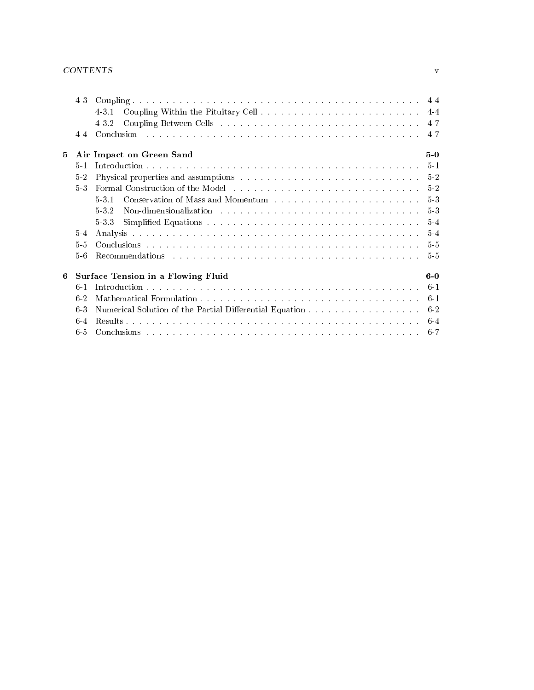### CONTENTS v

|             | 4.3   |                                                                                                                                                                                                                                         |                |
|-------------|-------|-----------------------------------------------------------------------------------------------------------------------------------------------------------------------------------------------------------------------------------------|----------------|
|             |       | 4.3.1                                                                                                                                                                                                                                   |                |
|             |       | 432                                                                                                                                                                                                                                     |                |
|             | $4-4$ | Conclusion and an arrangement of the concentration of the concentration of the concentration of the concentration of the concentration of the concentration of the concentration of the concentration of the concentration of           | $-4-7$         |
| $5^{\circ}$ |       | Air Impact on Green Sand                                                                                                                                                                                                                | $5-0$          |
|             | $5-1$ |                                                                                                                                                                                                                                         |                |
|             | 52    | Physical properties and assumptions entertainment of the set of the set of the set of the set of the set of the set of the set of the set of the set of the set of the set of the set of the set of the set of the set of the           |                |
|             | 53    |                                                                                                                                                                                                                                         |                |
|             |       | Conservation of Mass and Momentum resources in the conservation of Mass and Momentum resources in the conservation of $\mathbb{R}^n$<br>531                                                                                             | 5 <sub>3</sub> |
|             |       | Non-dimensionalization responses responses responses responses responses responses responses responses responses responses responses responses responses responses responses responses responses responses responses responses<br>5.3.2 | $5-3$          |
|             |       | 533                                                                                                                                                                                                                                     | $5-4$          |
|             | $5-4$ | Analysis a care a care a comparative comparative comparative comparative comparative comparative comp                                                                                                                                   | $5-4$          |
|             | 5.5   |                                                                                                                                                                                                                                         | $5-5$          |
|             | 56    | Recommendations in the contract of the contract of the contract of the contract of the contract of the contract of the contract of the contract of the contract of the contract of the contract of the contract of the contrac          | -5-5           |
| 6           |       | Surface Tension in a Flowing Fluid                                                                                                                                                                                                      | $6-0$          |
|             | $6-1$ |                                                                                                                                                                                                                                         |                |
|             | $6-2$ |                                                                                                                                                                                                                                         | $6-1$          |
|             | 63    | Numerical Solution of the Partial Differential Equation 6-2                                                                                                                                                                             |                |
|             | $6-4$ |                                                                                                                                                                                                                                         |                |
|             | 6.5   |                                                                                                                                                                                                                                         |                |
|             |       |                                                                                                                                                                                                                                         |                |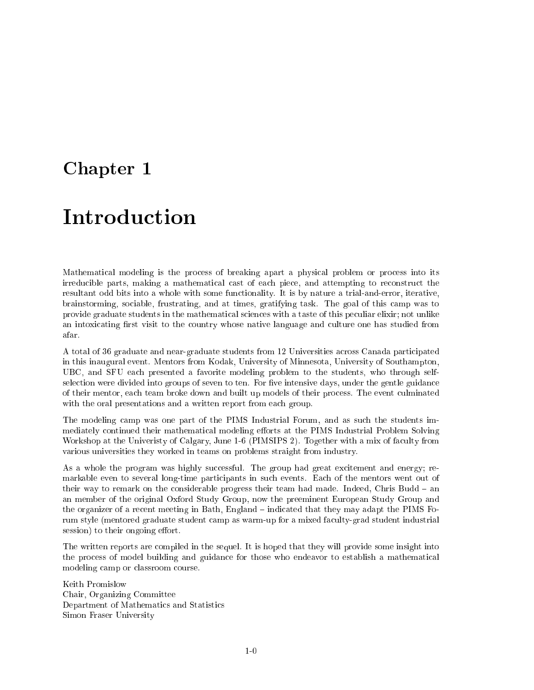## Chapter <sup>1</sup>

# Introduction

Mathematical modeling is the process of breaking apart a physical problem or process into its irreducible parts, making a mathematical cast of each piece, and attempting to reconstruct the resultant odd bits into a whole with some functionality. It is by nature a trial-and-error, iterative, brainstorming, sociable, frustrating, and at times, gratifying task. The goal of this camp was to provide graduate students in the mathematical sciences with a taste of this peculiar elixir; not unlike an intoxicating first visit to the country whose native language and culture one has studied from afar.

A total of 36 graduate and near-graduate students from 12 Universities across Canada participated in this inaugural event. Mentors from Kodak, University of Minnesota, University of Southampton, UBC, and SFU each presented a favorite modeling problem to the students, who through selfselection were divided into groups of seven to ten. For five intensive days, under the gentle guidance of their mentor, each team broke down and built up models of their process. The event culminated with the oral presentations and a written report from each group.

The modeling camp was one part of the PIMS Industrial Forum, and as such the students immediately continued their mathematical modeling efforts at the PIMS Industrial Problem Solving Workshop at the Univeristy of Calgary, June 1-6 (PIMSIPS 2). Together with a mix of faculty from various universities they worked in teams on problems straight from industry.

As a whole the program was highly successful. The group had great excitement and energy; remarkable even to several long-time participants in such events. Each of the mentors went out of their way to remark on the considerable progress their team had made. Indeed, Chris Budd  $-$  an an member of the original Oxford Study Group, now the preeminent European Study Group and the organizer of a recent meeting in Bath, England – indicated that they may adapt the PIMS Forum style (mentored graduate student camp as warm-up for a mixed faculty-grad student industrial session) to their ongoing effort.

The written reports are compiled in the sequel. It is hoped that they will provide some insight into the process of model building and guidance for those who endeavor to establish a mathematical modeling camp or classroom course.

Keith Promislow Chair, Organizing Committee Department of Mathematics and Statistics Simon Fraser University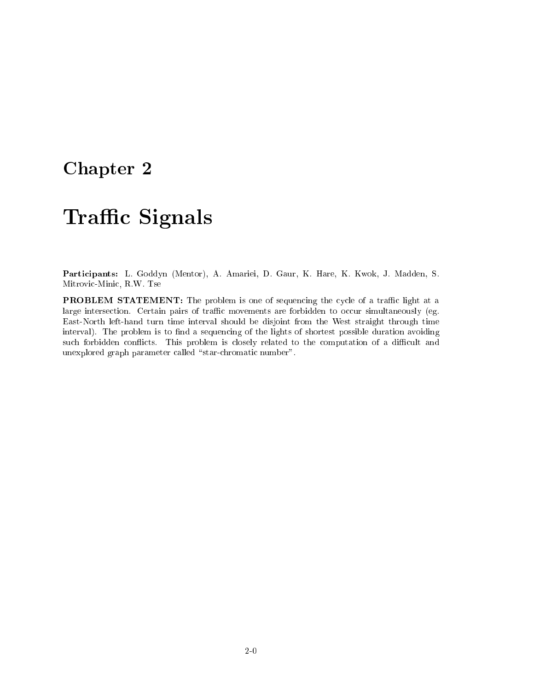## Chapter <sup>2</sup>

# **Traffic Signals**

Participants: L. Goddyn (Mentor), A. Amariei, D. Gaur, K. Hare, K. Kwok, J. Madden, S. Mitrovic-Minic, R.W. Tse

**PROBLEM STATEMENT:** The problem is one of sequencing the cycle of a traffic light at a large intersection. Certain pairs of traffic movements are forbidden to occur simultaneously (eg. East-North left-hand turn time interval should be disjoint from the West straight through time interval). The problem is to find a sequencing of the lights of shortest possible duration avoiding such forbidden conflicts. This problem is closely related to the computation of a difficult and unexplored graph parameter called "star-chromatic number".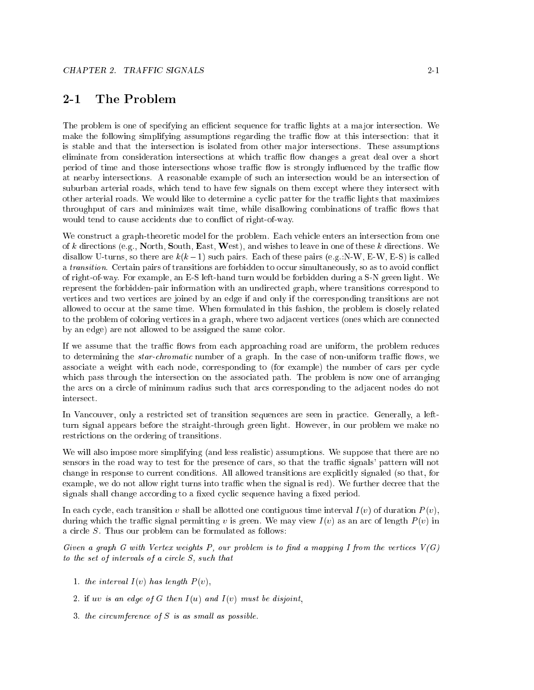#### $2 - 1$ The Problem

The problem is one of specifying an efficient sequence for traffic lights at a major intersection. We make the following simplifying assumptions regarding the traffic flow at this intersection: that it is stable and that the intersection is isolated from other major intersections. These assumptions eliminate from consideration intersections at which traffic flow changes a great deal over a short period of time and those intersections whose traffic flow is strongly influenced by the traffic flow at nearby intersections. A reasonable example of such an intersection would be an intersection of suburban arterial roads, which tend to have few signals on them except where they intersect with other arterial roads. We would like to determine a cyclic patter for the traffic lights that maximizes throughput of cars and minimizes wait time, while disallowing combinations of traffic flows that would tend to cause accidents due to conflict of right-of-way.

We construct a graph-theoretic model for the problem. Each vehicle enters an intersection from one of k directions (e.g., North, South, East, West), and wishes to leave in one of these k directions. We disallow U-turns, so there are  $k(k-1)$  such pairs. Each of these pairs (e.g.:N-W, E-W, E-S) is called a *transition*. Certain pairs of transitions are forbidden to occur simultaneously, so as to avoid conflict of right-of-way. For example, an E-S left-hand turn would be forbidden during a S-N green light. We represent the forbidden-pair information with an undirected graph, where transitions correspond to vertices and two vertices are joined by an edge if and only if the corresponding transitions are not allowed to occur at the same time. When formulated in this fashion, the problem is closely related to the problem of coloring vertices in a graph, where two adjacent vertices (ones which are connected by an edge) are not allowed to be assigned the same color.

If we assume that the traffic flows from each approaching road are uniform, the problem reduces to determining the *star-chromatic* number of a graph. In the case of non-uniform traffic flows, we associate a weight with each node, corresponding to (for example) the number of cars per cycle which pass through the intersection on the associated path. The problem is now one of arranging the arcs on a circle of minimum radius such that arcs corresponding to the adjacent nodes do not

In Vancouver, only a restricted set of transition sequences are seen in practice. Generally, a leftturn signal appears before the straight-through green light. However, in our problem we make no restrictions on the ordering of transitions.

We will also impose more simplifying (and less realistic) assumptions. We suppose that there are no sensors in the road way to test for the presence of cars, so that the traffic signals' pattern will not change in response to current conditions. All allowed transitions are explicitly signaled (so that, for example, we do not allow right turns into traffic when the signal is red). We further decree that the signals shall change according to a fixed cyclic sequence having a fixed period.

In each cycle, each transition v shall be allotted one contiguous time interval  $I(v)$  of duration  $P(v)$ , during which the traffic signal permitting v is green. We may view  $I(v)$  as an arc of length  $P(v)$  in a circle S. Thus our problem can be formulated as follows:

Given a graph G with Vertex weights P, our problem is to find a mapping I from the vertices  $V(G)$ to the set of intervals of a circle S, such that

- 1. the interval  $I(v)$  has length  $P(v)$ ,
- 2. if uv is an edge of G then  $I(u)$  and  $I(v)$  must be disjoint,
- 3. the circumference of  $S$  is as small as possible.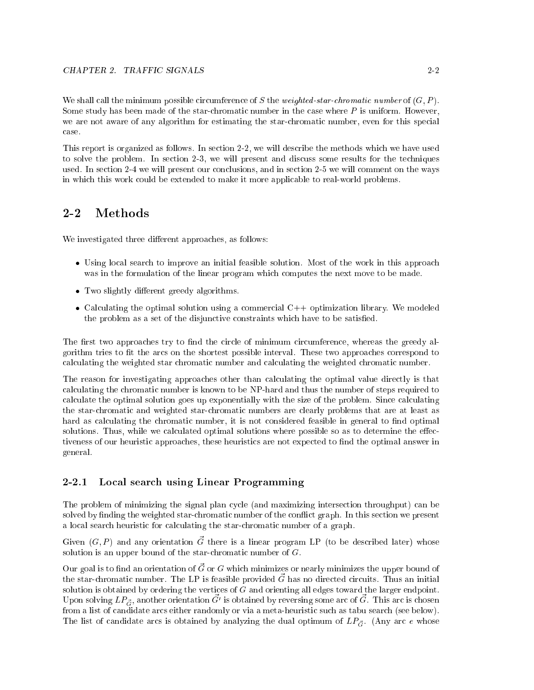We shall call the minimum possible circumference of S the weighted-star-chromatic number of  $(G, P)$ . Some study has been made of the star-chromatic number in the case where  $P$  is uniform. However, we are not aware of any algorithm for estimating the star-chromatic number, even for this special case.

This report is organized as follows. In section 2-2, we will describe the methods which we have used to solve the problem. In section 2-3, we will present and discuss some results for the techniques used. In section 2-4 we will present our conclusions, and in section 2-5 we will comment on the ways in which this work could be extended to make it more applicable to real-world problems.

#### $2 - 2$ **Methods**

We investigated three different approaches, as follows:

- Using local search to improve an initial feasible solution. Most of the work in this approach was in the formulation of the linear program which computes the next move to be made.
- Two slightly different greedy algorithms.
- Calculating the optimal solution using a commercial  $C++$  optimization library. We modeled the problem as a set of the disjunctive constraints which have to be satisfied.

The first two approaches try to find the circle of minimum circumference, whereas the greedy algorithm tries to fit the arcs on the shortest possible interval. These two approaches correspond to calculating the weighted star chromatic number and calculating the weighted chromatic number.

The reason for investigating approaches other than calculating the optimal value directly is that calculating the chromatic number is known to be NP-hard and thus the number of steps required to calculate the optimal solution goes up exponentially with the size of the problem. Since calculating the star-chromatic and weighted star-chromatic numbers are clearly problems that are at least as hard as calculating the chromatic number, it is not considered feasible in general to find optimal solutions. Thus, while we calculated optimal solutions where possible so as to determine the effectiveness of our heuristic approaches, these heuristics are not expected to find the optimal answer in general.

#### 2-2.1 Local search using Linear Programming

The problem of minimizing the signal plan cycle (and maximizing intersection throughput) can be solved by finding the weighted star-chromatic number of the conflict graph. In this section we present a local search heuristic for calculating the star-chromatic number of a graph.

 $G$ iven  $(G, I)$  and any orientation  $G$  there is a nilear program LP (to be described later) whose solution is an upper bound of the star-chromatic number of G.

Our goal is to find an orientation of  $\vec{G}$  or G which minimizes or nearly minimizes the upper bound of the star-chromatic number. The LP is feasible provided  $\vec{G}$  has no directed circuits. Thus an initial solution is obtained by ordering the vertices of  $G$  and orienting all edges toward the larger endpoint. Upon solving  $L\llcorner_{\vec{G}},$  another orientation  $G^*$  is obtained by reversing some arc of  $G$  . This arc is chosen from a list of candidate arcs either randomly or via a meta-heuristic such as tabu search (see below). The list of candidate arcs is obtained by analyzing the dual optimum of  $LP_{\vec{G}^*}$ . (Any arc e whose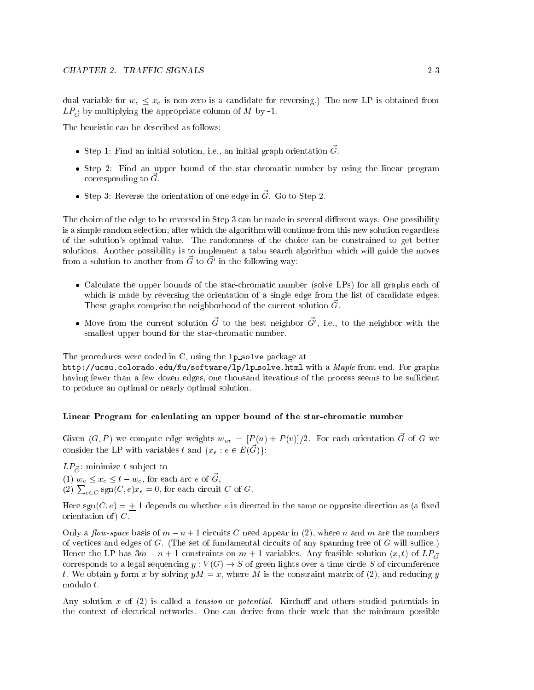dual variable for  $w_e \le x_e$  is non-zero is a candidate for reversing.) The new LP is obtained from  $LP_{\vec{G}}$  by multiplying the appropriate column of M by -1.

The heuristic can be described as follows:

- Step 1: Find an initial solution, i.e., an initial graph orientation  $\vec{G}$ .
- Step 2: Find an upper bound of the star-chromatic number by using the linear program corresponding to  $\tilde{G}$ .
- Step 3: Reverse the orientation of one edge in  $\vec{G}$ . Go to Step 2.

The choice of the edge to be reversed in Step 3 can be made in several different ways. One possibility is a simple random selection, after which the algorithm will continue from this new solution regardless of the solution's optimal value. The randomness of the choice can be constrained to get better solutions. Another possibility is to implement a tabu search algorithm which will guide the moves  $\mathfrak n$  only and  $\mathfrak a$  and  $\mathfrak a$  from  $G_{-}$  to  $G_{-}$  in the following way.

- Calculate the upper bounds of the star-chromatic number (solve LPs) for all graphs each of which is made by reversing the orientation of a single edge from the list of candidate edges. These graphs comprise the neighborhood of the current solution  $\vec{G}$ .
- $\bullet$  twove from the current solution  $G$  to the best neighbor  $G$ , i.e., to the neighbor with the smallest upper bound for the star-chromatic number.

The procedures were coded in C, using the 1p\_solve package at

http://ucsu.colorado.edu/ $\tilde{x}u$ /software/lp/lp\_solve.html with a *Maple* front end. For graphs having fewer than a few dozen edges, one thousand iterations of the process seems to be sufficient to produce an optimal or nearly optimal solution.

#### Linear Program for calculating an upper bound of the star-chromatic number

Given  $(G, P)$  we compute edge weights  $w_{uv} = [P(u) + P(v)]/2$ . For each orientation  $\vec{G}$  of G we consider the LP with variables t and  $\{x_e : e \in E(\vec{G})\}$ :

 $LP_{\vec{G}}$ : minimize t subject to (1)  $w_e \le x_e \le t - w_e$ , for each arc e of  $\vec{G}$ , (2)  $\sum_{e \in C}$  sgn $(C, e)x_e = 0$ , for each circuit C of G.

Here sgn( $C, e$ ) = + 1 depends on whether e is directed in the same or opposite direction as (a fixed orientation of  $)$   $C$ .

Only a *flow-space* basis of  $m - n + 1$  circuits C need appear in (2), where n and m are the numbers of vertices and edges of  $G$ . (The set of fundamental circuits of any spanning tree of  $G$  will suffice.) Hence the LP has  $3m - n + 1$  constraints on  $m + 1$  variables. Any feasible solution  $(x, t)$  of  $LP_{\sigma}$ corresponds to a legal sequencing  $y : V(G) \to S$  of green lights over a time circle S of circumference t. We obtain y form x by solving  $yM = x$ , where M is the constraint matrix of (2), and reducing y modulo t.

Any solution  $x$  of (2) is called a *tension* or *potential*. Kirchoff and others studied potentials in the context of electrical networks. One can derive from their work that the minimum possible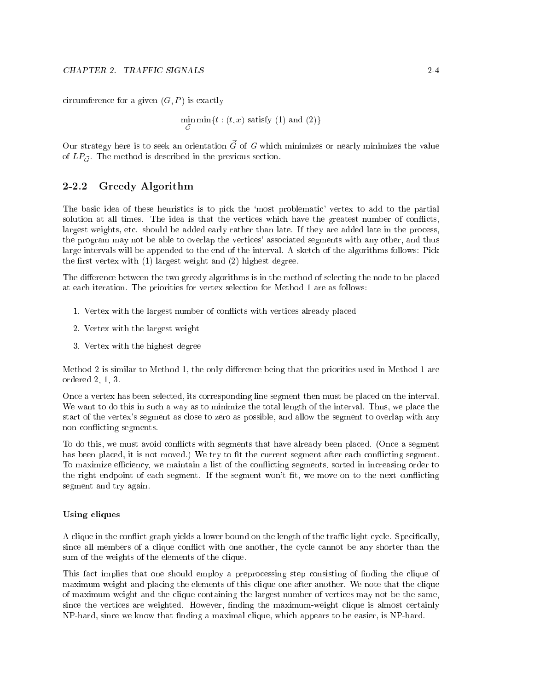circumference for a given  $(G, P)$  is exactly

$$
\min_{\vec{G}} \min\{t : (t, x) \text{ satisfy (1) and (2)}\}
$$

Our strategy here is to seek an orientation  $\vec{G}$  of G which minimizes or nearly minimizes the value of  $LP_{\vec{G}}$ . The method is described in the previous section.

#### Greedy Algorithm  $2 - 2.2$

The basic idea of these heuristics is to pick the `most problematic' vertex to add to the partial solution at all times. The idea is that the vertices which have the greatest number of conflicts, largest weights, etc. should be added early rather than late. If they are added late in the process, the program may not be able to overlap the vertices' associated segments with any other, and thus large intervals will be appended to the end of the interval. A sketch of the algorithms follows: Pick the first vertex with  $(1)$  largest weight and  $(2)$  highest degree.

The difference between the two greedy algorithms is in the method of selecting the node to be placed at each iteration. The priorities for vertex selection for Method 1 are as follows:

- 1. Vertex with the largest number of con
icts with vertices already placed
- 2. Vertex with the largest weight
- 3. Vertex with the highest degree

Method 2 is similar to Method 1, the only difference being that the priorities used in Method 1 are ordered 2, 1, 3.

Once a vertex has been selected, its corresponding line segment then must be placed on the interval. We want to do this in such a way as to minimize the total length of the interval. Thus, we place the start of the vertex's segment as close to zero as possible, and allow the segment to overlap with any non-con
icting segments.

To do this, we must avoid conflicts with segments that have already been placed. (Once a segment has been placed, it is not moved.) We try to fit the current segment after each conflicting segment. To maximize efficiency, we maintain a list of the conflicting segments, sorted in increasing order to the right endpoint of each segment. If the segment won't fit, we move on to the next conflicting segment and try again.

#### Using cliques

A clique in the conflict graph yields a lower bound on the length of the traffic light cycle. Specifically, since all members of a clique conflict with one another, the cycle cannot be any shorter than the sum of the weights of the elements of the clique.

This fact implies that one should employ a preprocessing step consisting of nding the clique of maximum weight and placing the elements of this clique one after another. We note that the clique of maximum weight and the clique containing the largest number of vertices may not be the same, since the vertices are weighted. However, finding the maximum-weight clique is almost certainly NP-hard, since we know that finding a maximal clique, which appears to be easier, is NP-hard.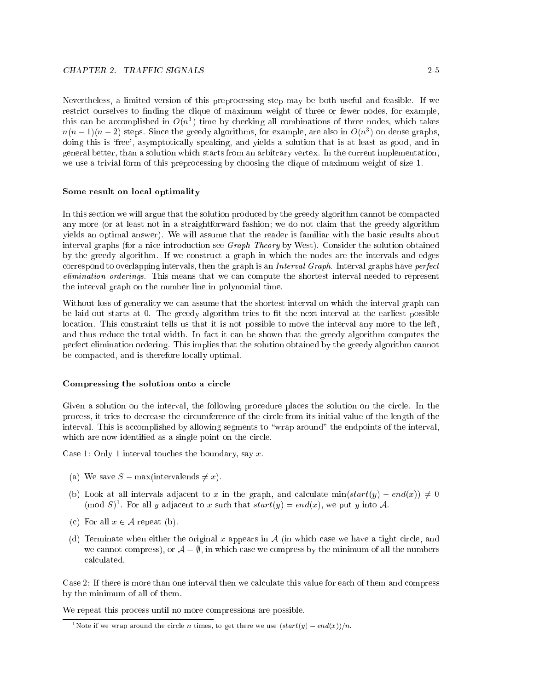Nevertheless, a limited version of this preprocessing step may be both useful and feasible. If we restrict ourselves to finding the clique of maximum weight of three or fewer nodes, for example, this can be accomplished in  $O(n^2)$  time by checking all combinations of three nodes, which takes  $n(n-1)(n-2)$  steps. Since the greedy algorithms, for example, are also in  $O(n^2)$  on dense graphs, doing this is 'free', asymptotically speaking, and yields a solution that is at least as good, and in general better, than a solution which starts from an arbitrary vertex. In the current implementation, we use a trivial form of this preprocessing by choosing the clique of maximum weight of size 1.

#### Some result on local optimality

In this section we will argue that the solution produced by the greedy algorithm cannot be compacted any more (or at least not in a straightforward fashion; we do not claim that the greedy algorithm yields an optimal answer). We will assume that the reader is familiar with the basic results about interval graphs (for a nice introduction see Graph Theory by West). Consider the solution obtained by the greedy algorithm. If we construct a graph in which the nodes are the intervals and edges correspond to overlapping intervals, then the graph is an Interval Graph. Interval graphs have perfect elimination orderings. This means that we can compute the shortest interval needed to represent the interval graph on the number line in polynomial time.

Without loss of generality we can assume that the shortest interval on which the interval graph can be laid out starts at 0. The greedy algorithm tries to fit the next interval at the earliest possible location. This constraint tells us that it is not possible to move the interval any more to the left, and thus reduce the total width. In fact it can be shown that the greedy algorithm computes the perfect elimination ordering. This implies that the solution obtained by the greedy algorithm cannot be compacted, and is therefore locally optimal.

#### Compressing the solution onto a circle

Given a solution on the interval, the following procedure places the solution on the circle. In the process, it tries to decrease the circumference of the circle from its initial value of the length of the interval. This is accomplished by allowing segments to \wrap around" the endpoints of the interval, which are now identified as a single point on the circle.

Case 1: Only 1 interval touches the boundary, say  $x$ .

- (a) We save  $S \max(\text{intervals } \neq x)$ .
- (b) Look at all intervals adjacent to x in the graph, and calculate  $min(start(y) end(x)) \neq 0$ (mod  $S$ ). For all y adjacent to x such that  $surr(y) = end(x)$ , we put y into A.
- (c) For all  $x \in \mathcal{A}$  repeat (b).
- (d) Terminate when either the original x appears in  $A$  (in which case we have a tight circle, and we cannot compress), or  $\mathcal{A} = \emptyset$ , in which case we compress by the minimum of all the numbers calculated.

Case 2: If there is more than one interval then we calculate this value for each of them and compress by the minimum of all of them.

We repeat this process until no more compressions are possible.

<sup>&</sup>lt;sup>1</sup>Note if we wrap around the circle *n* times, to get there we use  $(s \text{tar}(y) - \text{end}(x))/n$ .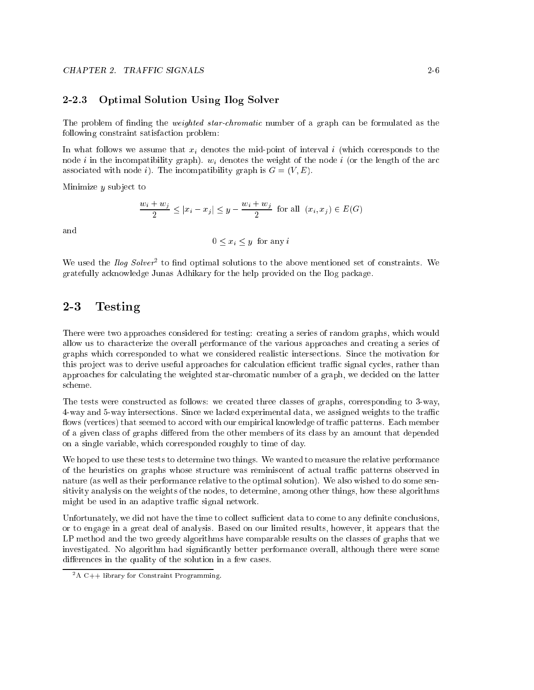#### $2 - 2.3$ 2-2.3 Optimal Solution Using Ilog Solver

The problem of finding the *weighted star-chromatic* number of a graph can be formulated as the following constraint satisfaction problem:

In what follows we assume that  $x_i$  denotes the mid-point of interval i (which corresponds to the node i in the incompatibility graph).  $w_i$  denotes the weight of the node i (or the length of the arc associated with node i). The incompatibility graph is  $G = (V, E)$ .

Minimize  $y$  subject to

$$
\frac{w_i + w_j}{2} \le |x_i - x_j| \le y - \frac{w_i + w_j}{2} \text{ for all } (x_i, x_j) \in E(G)
$$

and

$$
0 \le x_i \le y \text{ for any } i
$$

We used the *floq Solver* to find optimal solutions to the above mentioned set of constraints. We gratefully acknowledge Junas Adhikary for the help provided on the Ilog package.

## 2-3 Testing

There were two approaches considered for testing: creating a series of random graphs, which would allow us to characterize the overall performance of the various approaches and creating a series of graphs which corresponded to what we considered realistic intersections. Since the motivation for this project was to derive useful approaches for calculation efficient traffic signal cycles, rather than approaches for calculating the weighted star-chromatic number of a graph, we decided on the latter scheme.

The tests were constructed as follows: we created three classes of graphs, corresponding to 3-way, 4-way and 5-way intersections. Since we lacked experimental data, we assigned weights to the traffic flows (vertices) that seemed to accord with our empirical knowledge of traffic patterns. Each member of a given class of graphs differed from the other members of its class by an amount that depended on a single variable, which corresponded roughly to time of day.

We hoped to use these tests to determine two things. We wanted to measure the relative performance of the heuristics on graphs whose structure was reminiscent of actual traffic patterns observed in nature (as well as their performance relative to the optimal solution). We also wished to do some sensitivity analysis on the weights of the nodes, to determine, among other things, how these algorithms might be used in an adaptive traffic signal network.

Unfortunately, we did not have the time to collect sufficient data to come to any definite conclusions, or to engage in a great deal of analysis. Based on our limited results, however, it appears that the LP method and the two greedy algorithms have comparable results on the classes of graphs that we investigated. No algorithm had significantly better performance overall, although there were some differences in the quality of the solution in a few cases.

 $2A$  C++ library for Constraint Programming.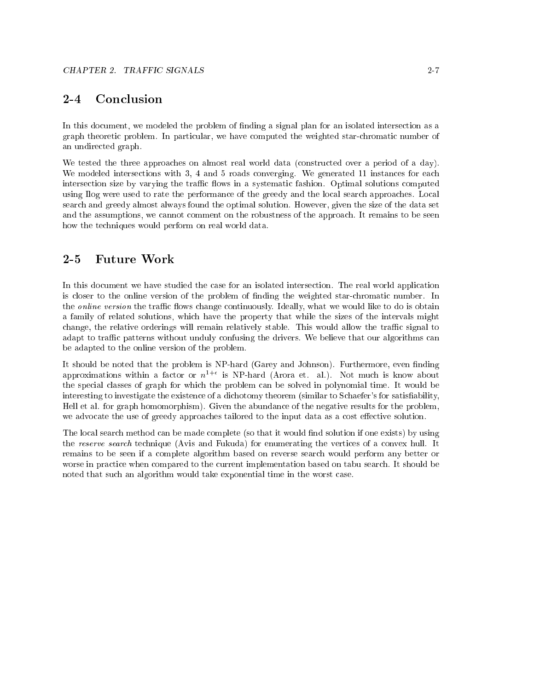#### $2 - 4$ Conclusion

In this document, we modeled the problem of finding a signal plan for an isolated intersection as a graph theoretic problem. In particular, we have computed the weighted star-chromatic number of an undirected graph.

We tested the three approaches on almost real world data (constructed over a period of a day). We modeled intersections with 3, 4 and 5 roads converging. We generated 11 instances for each intersection size by varying the traffic flows in a systematic fashion. Optimal solutions computed using Ilog were used to rate the performance of the greedy and the local search approaches. Local search and greedy almost always found the optimal solution. However, given the size of the data set and the assumptions, we cannot comment on the robustness of the approach. It remains to be seen how the techniques would perform on real world data.

In this document we have studied the case for an isolated intersection. The real world application is closer to the online version of the problem of finding the weighted star-chromatic number. In the *online version* the traffic flows change continuously. Ideally, what we would like to do is obtain a family of related solutions, which have the property that while the sizes of the intervals might change, the relative orderings will remain relatively stable. This would allow the traffic signal to adapt to traffic patterns without unduly confusing the drivers. We believe that our algorithms can be adapted to the online version of the problem.

It should be noted that the problem is NP-hard (Garey and Johnson). Furthermore, even finding approximations within a factor or  $n^{1+\epsilon}$  is NP-hard (Arora et. al.). Not much is know about the special classes of graph for which the problem can be solved in polynomial time. It would be interesting to investigate the existence of a dichotomy theorem (similar to Schaefer's for satisability, Hell et al. for graph homomorphism). Given the abundance of the negative results for the problem, we advocate the use of greedy approaches tailored to the input data as a cost effective solution.

The local search method can be made complete (so that it would find solution if one exists) by using the reserve search technique (Avis and Fukuda) for enumerating the vertices of a convex hull. It remains to be seen if a complete algorithm based on reverse search would perform any better or worse in practice when compared to the current implementation based on tabu search. It should be noted that such an algorithm would take exponential time in the worst case.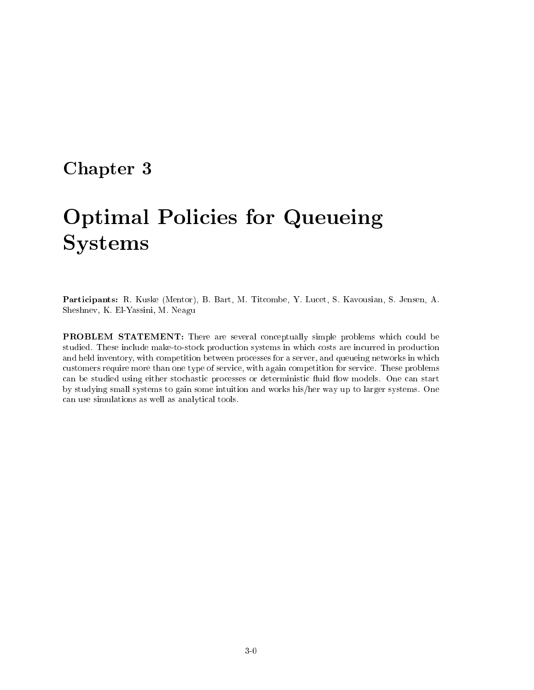## Chapter <sup>3</sup>

# Optimal Policies for Queueing Systems

Participants: R. Kuske (Mentor), B. Bart, M. Titcombe, Y. Lucet, S. Kavousian, S. Jensen, A. Sheshnev, K. El-Yassini, M. Neagu

PROBLEM STATEMENT: There are several conceptually simple problems which could be studied. These include make-to-stock production systems in which costs are incurred in production and held inventory, with competition between processes for a server, and queueing networks in which customers require more than one type of service, with again competition for service. These problems can be studied using either stochastic processes or deterministic fluid flow models. One can start by studying small systems to gain some intuition and works his/her way up to larger systems. One can use simulations as well as analytical tools.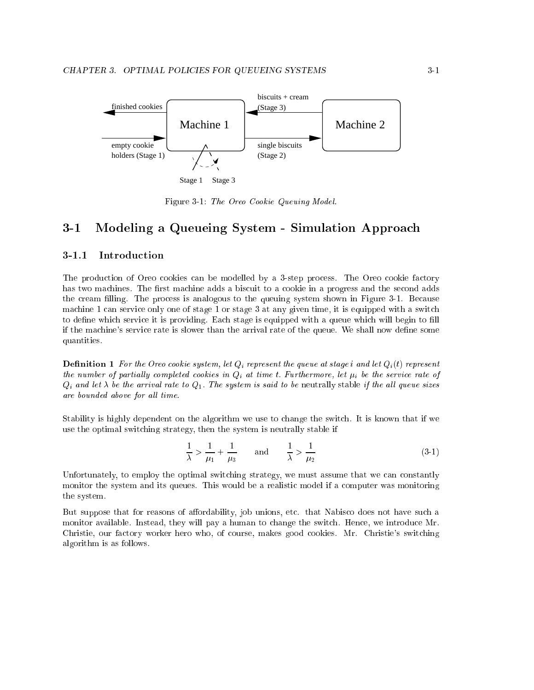

Stage 1 Stage 3

Figure 3-1: The Oreo Cookie Queuing Model.

## 3-1 Modeling a Queueing System - Simulation Approach

#### Introduction  $3 - 1.1$

The production of Oreo cookies can be modelled by a 3-step process. The Oreo cookie factory has two machines. The first machine adds a biscuit to a cookie in a progress and the second adds the cream filling. The process is analogous to the queuing system shown in Figure 3-1. Because machine 1 can service only one of stage 1 or stage 3 at any given time, it is equipped with a switch to define which service it is providing. Each stage is equipped with a queue which will begin to fill if the machine's service rate is slower than the arrival rate of the queue. We shall now define some quantities.

**Definition 1** For the Oreo cookie system, let  $Q_i$  represent the queue at stage i and let  $Q_i(t)$  represent the number of partially completed cookies in  $Q_i$  at time t. Furthermore, let  $\mu_i$  be the service rate of  $Q_i$  and let  $\lambda$  be the arrival rate to  $Q_1$ . The system is said to be neutrally stable if the all queue sizes are bounded above for all time.

Stability is highly dependent on the algorithm we use to change the switch. It is known that if we use the optimal switching strategy, then the system is neutrally stable if

$$
\frac{1}{\lambda} > \frac{1}{\mu_1} + \frac{1}{\mu_3} \quad \text{and} \quad \frac{1}{\lambda} > \frac{1}{\mu_2} \tag{3-1}
$$

Unfortunately, to employ the optimal switching strategy, we must assume that we can constantly monitor the system and its queues. This would be a realistic model if a computer was monitoring the system.

But suppose that for reasons of affordability, job unions, etc. that Nabisco does not have such a monitor available. Instead, they will pay a human to change the switch. Hence, we introduce Mr. Christie, our factory worker hero who, of course, makes good cookies. Mr. Christie's switching algorithm is as follows.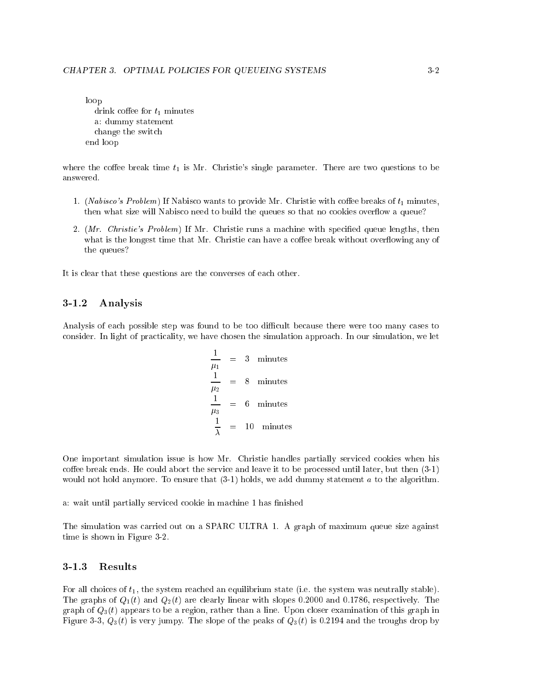```
loop
  drink coffee for t_1 minutes
  a: dummy statement
  change the switch
end loop
```
where the coffee break time  $t_1$  is Mr. Christie's single parameter. There are two questions to be answered.

- 1. (Nabisco's Problem) If Nabisco wants to provide Mr. Christie with coffee breaks of  $t_1$  minutes, then what size will Nabisco need to build the queues so that no cookies overflow a queue?
- 2.  $(Mr.$  Christie's Problem) If Mr. Christie runs a machine with specified queue lengths, then what is the longest time that Mr. Christie can have a coffee break without overflowing any of the queues?

It is clear that these questions are the converses of each other.

#### $3 - 1.2$ Analysis

Analysis of each possible step was found to be too difficult because there were too many cases to consider. In light of practicality, we have chosen the simulation approach. In our simulation, we let

$$
\frac{1}{\mu_1} = 3 \text{ minutes}
$$
\n
$$
\frac{1}{\mu_2} = 8 \text{ minutes}
$$
\n
$$
\frac{1}{\mu_3} = 6 \text{ minutes}
$$
\n
$$
\frac{1}{\lambda} = 10 \text{ minutes}
$$

One important simulation issue is how Mr. Christie handles partially serviced cookies when his coffee break ends. He could abort the service and leave it to be processed until later, but then (3-1) would not hold anymore. To ensure that  $(3-1)$  holds, we add dummy statement a to the algorithm.

a: wait until partially serviced cookie in machine 1 has finished

The simulation was carried out on a SPARC ULTRA 1. A graph of maximum queue size against time is shown in Figure 3-2.

### 3-1.3 Results

For all choices of  $t_1$ , the system reached an equilibrium state (i.e. the system was neutrally stable). The graphs of  $Q_1(t)$  and  $Q_2(t)$  are clearly linear with slopes 0.2000 and 0.1786, respectively. The graph of  $Q_3(t)$  appears to be a region, rather than a line. Upon closer examination of this graph in Figure 3-3,  $Q_3(t)$  is very jumpy. The slope of the peaks of  $Q_3(t)$  is 0.2194 and the troughs drop by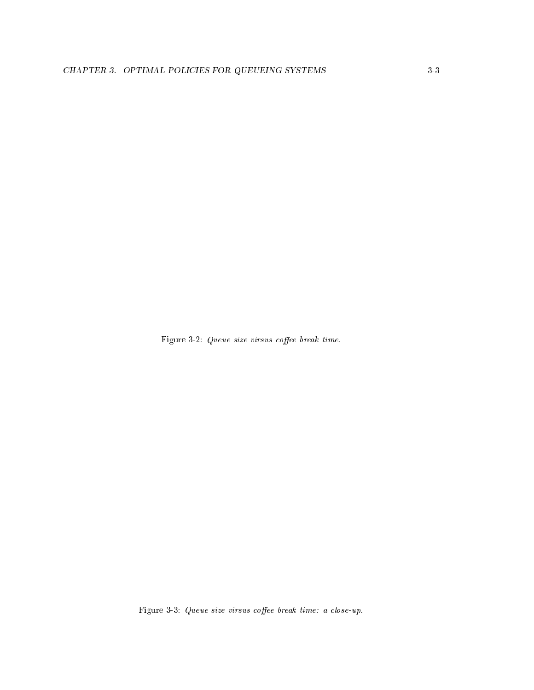Figure 3-2:  $Queue size virsus coffee break time.$ 

Figure 3-3: Queue size virsus coffee break time: a close-up.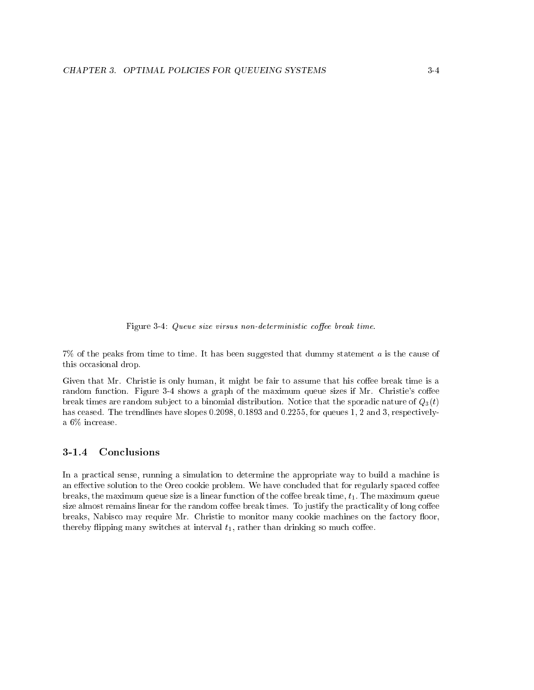Figure 3-4: Queue size virsus non-deterministic coffee break time.

7% of the peaks from time to time. It has been suggested that dummy statement a is the cause of this occasional drop.

Given that Mr. Christie is only human, it might be fair to assume that his coffee break time is a random function. Figure 3-4 shows a graph of the maximum queue sizes if Mr. Christie's coffee break times are random subject to a binomial distribution. Notice that the sporadic nature of  $Q_3(t)$ has ceased. The trendlines have slopes 0.2098, 0.1893 and 0.2255, for queues 1, 2 and 3, respectivelya 6% increase.

#### Conclusions  $3 - 1.4$

In a practical sense, running a simulation to determine the appropriate way to build a machine is an effective solution to the Oreo cookie problem. We have concluded that for regularly spaced coffee breaks, the maximum queue size is a linear function of the coffee break time,  $t_1$ . The maximum queue size almost remains linear for the random coffee break times. To justify the practicality of long coffee breaks, Nabisco may require Mr. Christie to monitor many cookie machines on the factory floor, thereby flipping many switches at interval  $t_1$ , rather than drinking so much coffee.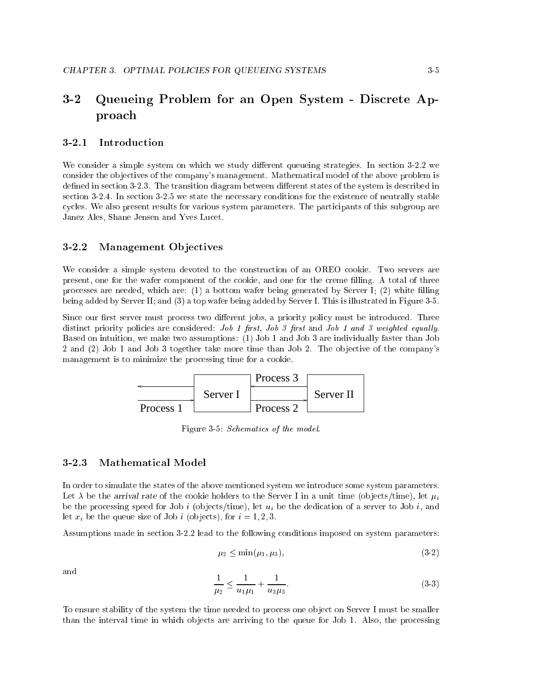#### $3 - 2$ Queueing Problem for an Open System - Discrete Approach

#### $3 - 2.1$ **Introduction**

We consider a simple system on which we study different queueing strategies. In section 3-2.2 we consider the objectives of the company's management. Mathematical model of the above problem is defined in section 3-2.3. The transition diagram between different states of the system is described in section 3-2.4. In section 3-2.5 we state the necessary conditions for the existence of neutrally stable cycles. We also present results for various system parameters. The participants of this subgroup are Janez Ales, Shane Jensen and Yves Lucet.

#### Management Objectives  $3 - 2.2$

We consider a simple system devoted to the construction of an OREO cookie. Two servers are present, one for the wafer component of the cookie, and one for the creme lling. A total of three processes are needed, which are:  $(1)$  a bottom wafer being generated by Server I;  $(2)$  white filling being added by Server II; and (3) a top wafer being added by Server I. This is illustrated in Figure 3-5.

Since our first server must process two different jobs, a priority policy must be introduced. Three distinct priority policies are considered: *Job 1 first, Job 3 first* and *Job 1 and 3 weighted equally.* Based on intuition, we make two assumptions: (1) Job 1 and Job 3 are individually faster than Job 2 and (2) Job 1 and Job 3 together take more time than Job 2. The objective of the company's management is to minimize the processing time for a cookie.



Figure 3-5: Schematics of the model.

#### 3-2.3 Mathematical Model

In order to simulate the states of the above mentioned system we introduce some system parameters. Let  $\lambda$  be the arrival rate of the cookie holders to the Server I in a unit time (objects/time), let  $\mu_i$ be the processing speed for Job i (objects/time), let  $u_i$  be the dedication of a server to Job i, and let  $x_i$  be the queue size of Job i (objects), for  $i = 1, 2, 3$ .

Assumptions made in section 3-2.2 lead to the following conditions imposed on system parameters:

$$
\mu_2 \le \min(\mu_1, \mu_3),\tag{3-2}
$$

and

$$
\frac{1}{\mu_2} \le \frac{1}{u_1 \mu_1} + \frac{1}{u_3 \mu_3}.\tag{3-3}
$$

To ensure stability of the system the time needed to process one ob ject on Server I must be smaller than the interval time in which ob jects are arriving to the queue for Job 1. Also, the processing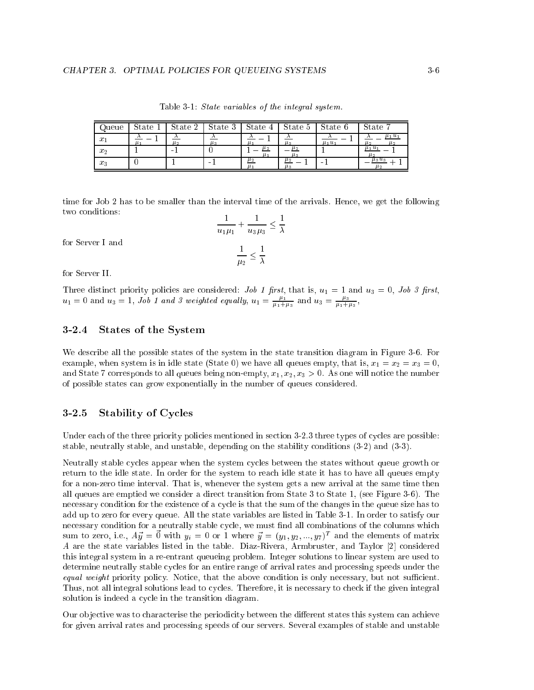| Queue            | State 1 | State 2 | State 3 | State $4$          | State 5            | State 6     | State<br>$\overline{ }$      |
|------------------|---------|---------|---------|--------------------|--------------------|-------------|------------------------------|
| $\boldsymbol{x}$ | $\mu$ . | $\mu$ 2 | $\mu_3$ |                    | $\mu_3$            | $\mu_1 u_1$ | $\mu_1 u_1$<br>$\mu$ 2<br>Ш2 |
| $x_2$            |         | $\sim$  |         | $\mu_2$<br>$\mu_1$ | $\mu_2$<br>ЦЗ      |             | $\mu_1 u_1$<br>$\mu_2$       |
| $x_3$            |         |         | -       | $\mu_2$            | $\mu_2$<br>$\mu_3$ | -           | $\mu_3 u_3$<br>$\mu_2$       |

Table 3-1: State variables of the integral system.

time for Job 2 has to be smaller than the interval time of the arrivals. Hence, we get the following two conditions:

for Server I and

$$
\frac{1}{u_1\mu_1} + \frac{1}{u_3\mu_3} \le \frac{1}{\lambda}
$$

$$
\frac{1}{\lambda} < \frac{1}{\lambda}
$$

 $\mu_2$  –  $\lambda$ 

for Server II.

 $u_1 = 0$  and  $u_3 = 1$ , Job 1 and 3 weighted equally,  $u_1 = \frac{\mu_1}{\mu_1 + \mu_3}$  and  $u_3 = \frac{\mu_3}{\mu_1 + \mu_3}$ ,

## 3-2.4 States of the System

We describe all the possible states of the system in the state transition diagram in Figure 3-6. For example, when system is in idle state (State 0) we have all queues empty, that is,  $x_1 = x_2 = x_3 = 0$ , and State 7 corresponds to all queues being non-empty,  $x_1, x_2, x_3 > 0$ . As one will notice the number of possible states can grow exponentially in the number of queues considered.

#### 3-2.5 Stability of Cycles

Under each of the three priority policies mentioned in section 3-2.3 three types of cycles are possible: stable, neutrally stable, and unstable, depending on the stability conditions (3-2) and (3-3).

Neutrally stable cycles appear when the system cycles between the states without queue growth or return to the idle state. In order for the system to reach idle state it has to have all queues empty for a non-zero time interval. That is, whenever the system gets a new arrival at the same time then all queues are emptied we consider a direct transition from State 3 to State 1, (see Figure 3-6). The necessary condition for the existence of a cycle is that the sum of the changes in the queue size has to add up to zero for every queue. All the state variables are listed in Table 3-1. In order to satisfy our necessary condition for a neutrally stable cycle, we must find all combinations of the columns which sum to zero, i.e.,  $A\vec{y} = \vec{0}$  with  $y_i = 0$  or 1 where  $\vec{y} = (y_1, y_2, ..., y_7)^T$  and the elements of matrix A are the state variables listed in the table. Diaz-Rivera, Armbruster, and Taylor [2] considered this integral system in a re-entrant queueing problem. Integer solutions to linear system are used to determine neutrally stable cycles for an entire range of arrival rates and processing speeds under the equal weight priority policy. Notice, that the above condition is only necessary, but not sufficient. Thus, not all integral solutions lead to cycles. Therefore, it is necessary to check if the given integral solution is indeed a cycle in the transition diagram.

Our objective was to characterise the periodicity between the different states this system can achieve for given arrival rates and processing speeds of our servers. Several examples of stable and unstable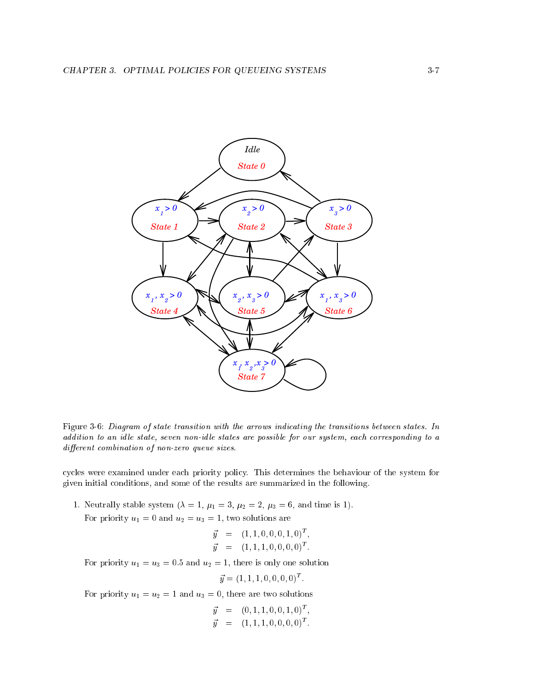

Figure 3-6: Diagram of state transition with the arrows indicating the transitions between states. In addition to an idle state, seven non-idle states are possible for our system, each corresponding to a  $differential condition of non-zero queue sizes.$ 

cycles were examined under each priority policy. This determines the behaviour of the system for given initial conditions, and some of the results are summarized in the following.

1. Neutrally stable system ( $\lambda = 1, \mu_1 = 3, \mu_2 = 2, \mu_3 = 6$ , and time is 1). For priority  $u_1 = 0$  and  $u_2 = u_3 = 1$ , two solutions are

$$
\vec{y} = (1, 1, 0, 0, 0, 1, 0)^T, \n\vec{y} = (1, 1, 1, 0, 0, 0, 0)^T.
$$

For priority  $u_1 = u_3 = 0.5$  and  $u_2 = 1$ , there is only one solution

$$
\vec{y} = (1, 1, 1, 0, 0, 0, 0)^T
$$

For priority  $u_1 = u_2 = 1$  and  $u_3 = 0$ , there are two solutions

$$
\vec{y} = (0, 1, 1, 0, 0, 1, 0)^T, \n\vec{y} = (1, 1, 1, 0, 0, 0, 0)^T.
$$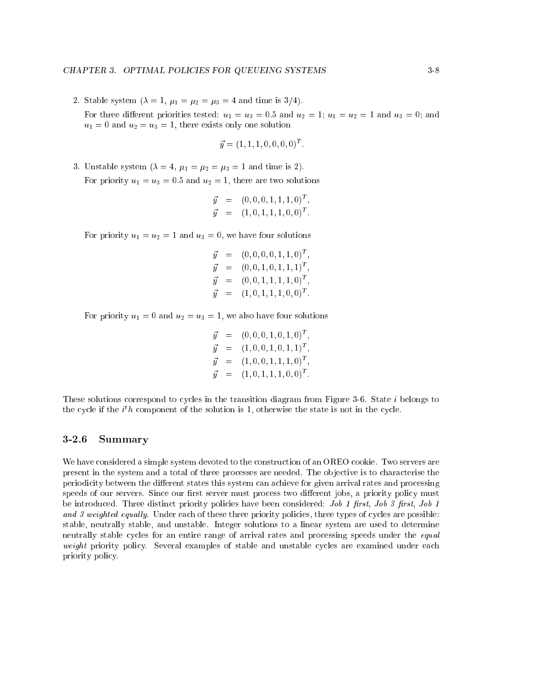2. Stable system  $(\lambda = 1, \mu_1 = \mu_2 = \mu_3 = 4$  and time is 3/4). For three different priorities tested:  $u_1 = u_3 = 0.5$  and  $u_2 = 1$ ;  $u_1 = u_2 = 1$  and  $u_3 = 0$ ; and  $u_1 = 0$  and  $u_2 = u_3 = 1$ , there exists only one solution

$$
\vec{y} = (1, 1, 1, 0, 0, 0, 0)^T
$$

3. Unstable system  $(\lambda = 4, \mu_1 = \mu_2 = \mu_3 = 1$  and time is 2). For priority  $u_1 = u_3 = 0.5$  and  $u_2 = 1$ , there are two solutions

$$
\vec{y} = (0, 0, 0, 1, 1, 1, 0)^T, \n\vec{y} = (1, 0, 1, 1, 1, 0, 0)^T.
$$

For priority  $u_1 = u_2 = 1$  and  $u_3 = 0$ , we have four solutions

$$
\begin{array}{rcl}\n\vec{y} & = & (0,0,0,0,1,1,0)^T, \\
\vec{y} & = & (0,0,1,0,1,1,1)^T, \\
\vec{y} & = & (0,0,1,1,1,1,0)^T, \\
\vec{y} & = & (1,0,1,1,1,0,0)^T.\n\end{array}
$$

For priority  $u_1 = 0$  and  $u_2 = u_3 = 1$ , we also have four solutions

$$
\begin{array}{rcl}\n\vec{y} & = & (0,0,0,1,0,1,0)^T, \\
\vec{y} & = & (1,0,0,1,0,1,1)^T, \\
\vec{y} & = & (1,0,0,1,1,1,0)^T, \\
\vec{y} & = & (1,0,1,1,1,0,0)^T.\n\end{array}
$$

These solutions correspond to cycles in the transition diagram from Figure 3-6. State i belongs to the cycle if the  $i^th$  component of the solution is 1, otherwise the state is not in the cycle.

#### 3-2.6 Summary

We have considered a simple system devoted to the construction of an OREO cookie. Two servers are present in the system and a total of three processes are needed. The ob jective is to characterise the periodicity between the different states this system can achieve for given arrival rates and processing speeds of our servers. Since our first server must process two different jobs, a priority policy must be introduced. Three distinct priority policies have been considered: *Job 1 first, Job 3 first, Job 1* and 3 weighted equally. Under each of these three priority policies, three types of cycles are possible: stable, neutrally stable, and unstable. Integer solutions to a linear system are used to determine neutrally stable cycles for an entire range of arrival rates and processing speeds under the *equal* weight priority policy. Several examples of stable and unstable cycles are examined under each priority policy.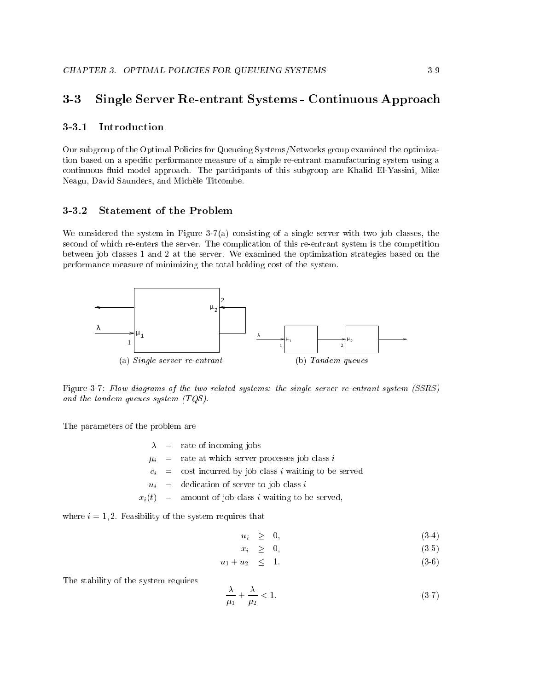#### $3 - 3$ Single Server Re-entrant Systems - Continuous Approach

### 3-3.1 Introduction

Our subgroup of the Optimal Policies for Queueing Systems/Networks group examined the optimization based on a specic performance measure of a simple re-entrant manufacturing system using a continuous fluid model approach. The participants of this subgroup are Khalid El-Yassini, Mike Neagu, David Saunders, and Michele Titcombe.

### 3-3.2 Statement of the Problem

We considered the system in Figure 3-7(a) consisting of a single server with two job classes, the second of which re-enters the server. The complication of this re-entrant system is the competition between job classes 1 and 2 at the server. We examined the optimization strategies based on the performance measure of minimizing the total holding cost of the system.



Figure 3-7: Flow diagrams of the two related systems: the single server re-entrant system (SSRS) and the tandem queues system (TQS).

The parameters of the problem are

 $=$  rate of incoming jobs  $\lambda$ 

 $\mu_i$  = rate at which server processes job class i

- $c_i$  = cost incurred by job class i waiting to be served
- $u_i$  = dedication of server to job class i

 $x_i(t)$  = amount of job class i waiting to be served,

where  $i = 1, 2$ . Feasibility of the system requires that

$$
u_i \geq 0, \tag{3-4}
$$

$$
x_i \geq 0, \tag{3-5}
$$

$$
u_1 + u_2 \leq 1. \tag{3-6}
$$

The stability of the system requires

$$
\frac{\lambda}{\mu_1} + \frac{\lambda}{\mu_2} < 1. \tag{3-7}
$$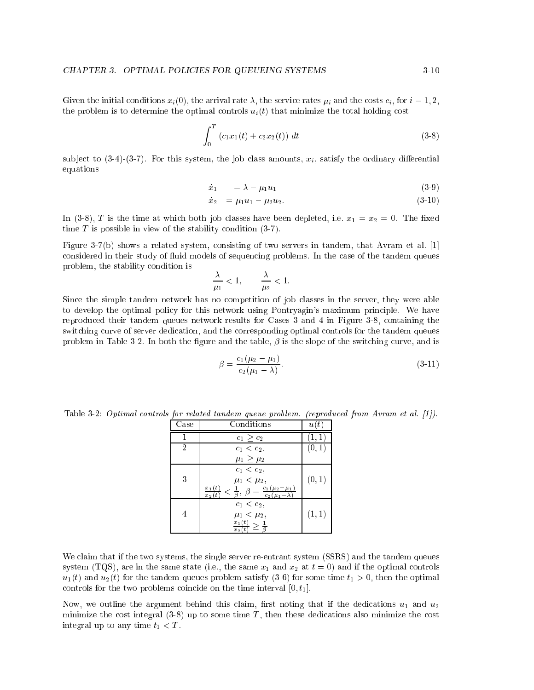Given the initial conditions  $x_i(0)$ , the arrival rate  $\lambda$ , the service rates  $\mu_i$  and the costs  $c_i$ , for  $i = 1, 2$ , the problem is to determine the optimal controls  $u_i(t)$  that minimize the total holding cost

$$
\int_0^T \left( c_1 x_1(t) + c_2 x_2(t) \right) dt \tag{3-8}
$$

subject to  $(3-4)-(3-7)$ . For this system, the job class amounts,  $x_i$ , satisfy the ordinary differential equations

$$
\dot{x}_1 = \lambda - \mu_1 u_1 \tag{3-9}
$$

$$
\dot{x}_2 = \mu_1 u_1 - \mu_2 u_2. \tag{3-10}
$$

In (3-8), T is the time at which both job classes have been depleted, i.e.  $x_1 = x_2 = 0$ . The fixed time  $T$  is possible in view of the stability condition  $(3-7)$ .

Figure 3-7(b) shows a related system, consisting of two servers in tandem, that Avram et al. [1] considered in their study of fluid models of sequencing problems. In the case of the tandem queues problem, the stability condition is

$$
\frac{\lambda}{\mu_1} < 1, \qquad \frac{\lambda}{\mu_2} < 1.
$$

Since the simple tandem network has no competition of job classes in the server, they were able to develop the optimal policy for this network using Pontryagin's maximum principle. We have reproduced their tandem queues network results for Cases 3 and 4 in Figure 3-8, containing the switching curve of server dedication, and the corresponding optimal controls for the tandem queues problem in Table 3-2. In both the figure and the table,  $\beta$  is the slope of the switching curve, and is

$$
\beta = \frac{c_1(\mu_2 - \mu_1)}{c_2(\mu_1 - \lambda)}.
$$
\n(3-11)

Table 3-2: Optimal controls for related tandem queue problem. (reproduced from Avram et al. [1]).

| Case           | Conditions                                                                                                                                 | u(t)   |
|----------------|--------------------------------------------------------------------------------------------------------------------------------------------|--------|
|                | $c_1 \geq c_2$                                                                                                                             | (1,    |
| $\overline{2}$ | $c_1 < c_2$ ,                                                                                                                              | (0,1)  |
|                | $\mu_1 \geq \mu_2$                                                                                                                         |        |
| 3              | $c_1 < c_2$ ,<br>$\mu_1 < \mu_2$ ,<br>$\frac{x_1(t)}{x_2(t)} < \frac{1}{\beta}, \ \beta = \frac{c_1(\mu_2 - \mu_1)}{c_2(\mu_1 - \lambda)}$ | (0,1)  |
|                | $c_1 < c_2$ ,<br>$\mu_1 < \mu_2$ ,<br>$\frac{x_1(t)}{x_2(t)} \geq \frac{1}{\beta}$                                                         | (1, 1) |

We claim that if the two systems, the single server re-entrant system (SSRS) and the tandem queues system (TQS), are in the same state (i.e., the same  $x_1$  and  $x_2$  at  $t = 0$ ) and if the optimal controls  $u_1(t)$  and  $u_2(t)$  for the tandem queues problem satisfy (3-6) for some time  $t_1 > 0$ , then the optimal controls for the two problems coincide on the time interval  $[0, t_1]$ .

Now, we outline the argument behind this claim, first noting that if the dedications  $u_1$  and  $u_2$ minimize the cost integral  $(3-8)$  up to some time T, then these dedications also minimize the cost integral up to any time  $t_1 < T$ .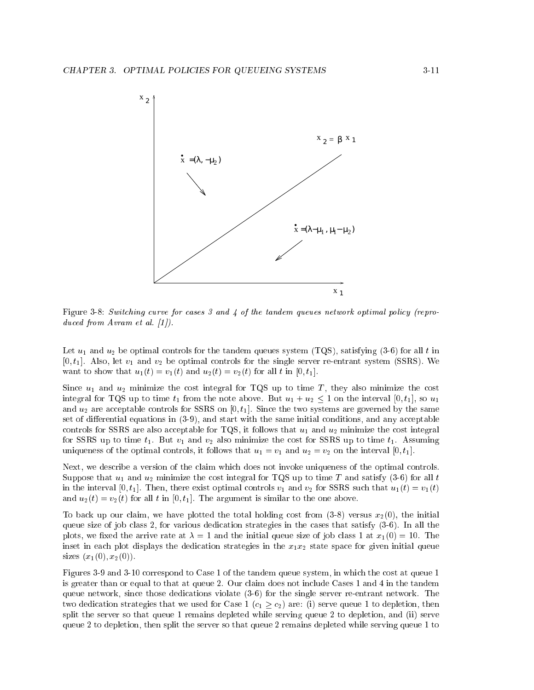

Figure 3-8: Switching curve for cases 3 and 4 of the tandem queues network optimal policy (reproduced from Avram et al. [1]).

Let  $u_1$  and  $u_2$  be optimal controls for the tandem queues system (TQS), satisfying (3-6) for all t in  $[0, t_1]$ . Also, let  $v_1$  and  $v_2$  be optimal controls for the single server re-entrant system (SSRS). We want to show that  $u_1(t) = v_1(t)$  and  $u_2(t) = v_2(t)$  for all t in [0, t<sub>1</sub>].

Since  $u_1$  and  $u_2$  minimize the cost integral for TQS up to time T, they also minimize the cost integral for TQS up to time  $t_1$  from the note above. But  $u_1 + u_2 \leq 1$  on the interval  $[0, t_1]$ , so  $u_1$ and  $u_2$  are acceptable controls for SSRS on [0,  $t_1$ ]. Since the two systems are governed by the same set of differential equations in  $(3-9)$ , and start with the same initial conditions, and any acceptable controls for SSRS are also acceptable for TQS, it follows that  $u_1$  and  $u_2$  minimize the cost integral for SSRS up to time  $t_1$ . But  $v_1$  and  $v_2$  also minimize the cost for SSRS up to time  $t_1$ . Assuming uniqueness of the optimal controls, it follows that  $u_1 = v_1$  and  $u_2 = v_2$  on the interval  $[0, t_1]$ .

Next, we describe a version of the claim which does not invoke uniqueness of the optimal controls. Suppose that  $u_1$  and  $u_2$  minimize the cost integral for TQS up to time T and satisfy (3-6) for all t in the interval [0, t<sub>1</sub>]. Then, there exist optimal controls  $v_1$  and  $v_2$  for SSRS such that  $u_1(t) = v_1(t)$ and  $u_2(t) = v_2(t)$  for all t in [0, t<sub>1</sub>]. The argument is similar to the one above.

To back up our claim, we have plotted the total holding cost from  $(3-8)$  versus  $x_2(0)$ , the initial queue size of job class 2, for various dedication strategies in the cases that satisfy (3-6). In all the plots, we fixed the arrive rate at  $\lambda = 1$  and the initial queue size of job class 1 at  $x_1(0) = 10$ . The inset in each plot displays the dedication strategies in the  $x_1x_2$  state space for given initial queue sizes  $(x_1(0), x_2(0))$ .

Figures 3-9 and 3-10 correspond to Case 1 of the tandem queue system, in which the cost at queue 1 is greater than or equal to that at queue 2. Our claim does not include Cases 1 and 4 in the tandem queue network, since those dedications violate (3-6) for the single server re-entrant network. The two dedication strategies that we used for Case 1 ( $c_1 \geq c_2$ ) are: (i) serve queue 1 to depletion, then split the server so that queue 1 remains depleted while serving queue 2 to depletion, and (ii) serve queue 2 to depletion, then split the server so that queue 2 remains depleted while serving queue 1 to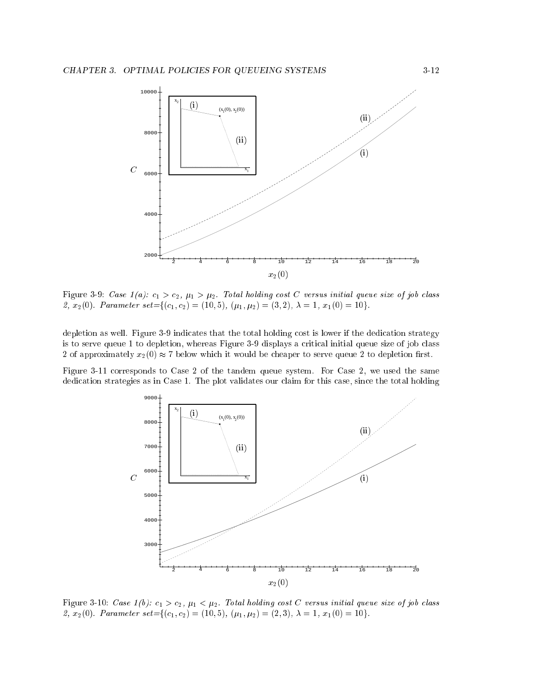

Figure 3-9: Case  $1(a)$ :  $c_1 > c_2$ ,  $\mu_1 > \mu_2$ . Total holding cost C versus initial queue size of job class 2,  $x_2(0)$ . Parameter set={(c<sub>1</sub>, c<sub>2</sub>) = (10, 5), ( $\mu_1, \mu_2$ ) = (3, 2),  $\lambda = 1, x_1(0) = 10$ }.

depletion as well. Figure 3-9 indicates that the total holding cost is lower if the dedication strategy is to serve queue 1 to depletion, whereas Figure 3-9 displays a critical initial queue size of job class 2 of approximately  $x_2(0) \approx 7$  below which it would be cheaper to serve queue 2 to depletion first.

Figure 3-11 corresponds to Case 2 of the tandem queue system. For Case 2, we used the same dedication strategies as in Case 1. The plot validates our claim for this case, since the total holding



Figure 3-10: Case  $1(b)$ :  $c_1 > c_2$ ,  $\mu_1 < \mu_2$ . Total holding cost C versus initial queue size of job class 2,  $x_2(0)$ . Parameter set={(c<sub>1</sub>, c<sub>2</sub>) = (10, 5), ( $\mu_1, \mu_2$ ) = (2, 3),  $\lambda = 1, x_1(0) = 10$ }.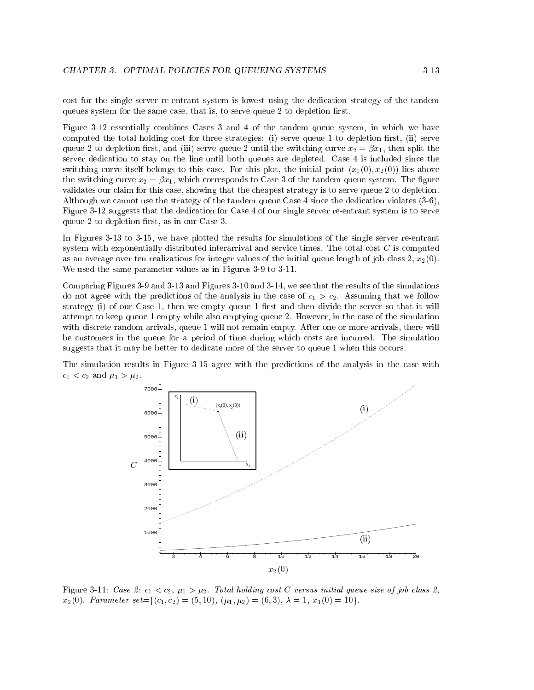cost for the single server re-entrant system is lowest using the dedication strategy of the tandem queues system for the same case, that is, to serve queue 2 to depletion first.

Figure 3-12 essentially combines Cases 3 and 4 of the tandem queue system, in which we have computed the total holding cost for three strategies: (i) serve queue 1 to depletion first, (ii) serve queue 2 to depletion first, and (iii) serve queue 2 until the switching curve  $x_2 = \beta x_1$ , then split the server dedication to stay on the line until both queues are depleted. Case 4 is included since the switching curve itself belongs to this case. For this plot, the initial point  $(x_1(0), x_2(0))$  lies above the switching curve  $x_2 = \beta x_1$ , which corresponds to Case 3 of the tandem queue system. The figure validates our claim for this case, showing that the cheapest strategy is to serve queue 2 to depletion. Although we cannot use the strategy of the tandem queue Case 4 since the dedication violates (3-6), Figure 3-12 suggests that the dedication for Case 4 of our single server re-entrant system is to serve queue 2 to depletion first, as in our Case 3.

In Figures 3-13 to 3-15, we have plotted the results for simulations of the single server re-entrant system with exponentially distributed interarrival and service times. The total cost C is computed as an average over ten realizations for integer values of the initial queue length of job class  $2, x_2(0)$ . We used the same parameter values as in Figures 3-9 to 3-11.

Comparing Figures 3-9 and 3-13 and Figures 3-10 and 3-14, we see that the results of the simulations do not agree with the predictions of the analysis in the case of  $c_1 > c_2$ . Assuming that we follow strategy (i) of our Case 1, then we empty queue 1 first and then divide the server so that it will attempt to keep queue 1 empty while also emptying queue 2. However, in the case of the simulation with discrete random arrivals, queue 1 will not remain empty. After one or more arrivals, there will be customers in the queue for a period of time during which costs are incurred. The simulation suggests that it may be better to dedicate more of the server to queue 1 when this occurs.

The simulation results in Figure 3-15 agree with the predictions of the analysis in the case with  $c_1 < c_2$  and  $\mu_1 > \mu_2$ .



Figure 3-11: Case 2:  $c_1 < c_2$ ,  $\mu_1 > \mu_2$ . Total holding cost C versus initial queue size of job class 2,  $x_2(0)$ . Parameter set={(c<sub>1</sub>, c<sub>2</sub>) = (5, 10), ( $\mu_1, \mu_2$ ) = (6, 3),  $\lambda = 1, x_1(0) = 10$ .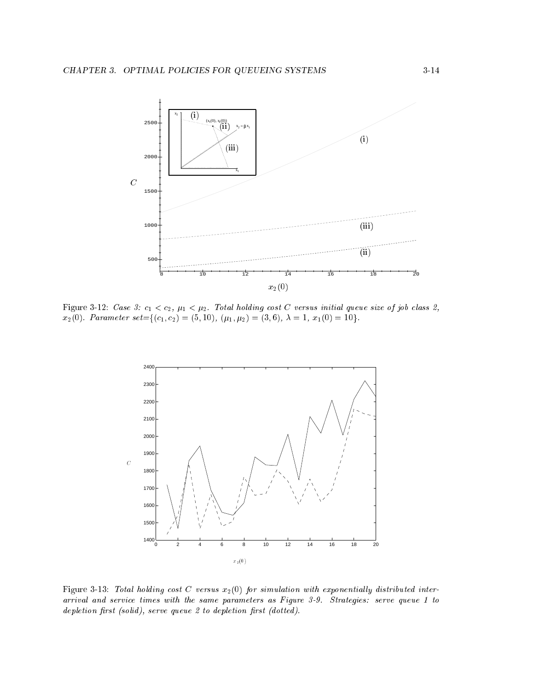

Figure 3-12: Case 3:  $c_1 < c_2$ ,  $\mu_1 < \mu_2$ . Total holding cost C versus initial queue size of job class 2,  $x_2(0)$ . Parameter set={(c<sub>1</sub>, c<sub>2</sub>) = (5, 10), ( $\mu_1, \mu_2$ ) = (3, 6),  $\lambda = 1$ ,  $x_1(0) = 10$ }.



Figure 3-13: Total holding cost C versus  $x_2(0)$  for simulation with exponentially distributed interarrival and service times with the same parameters as Figure 3-9. Strategies: serve queue <sup>1</sup> to depletion first (solid), serve queue  $2$  to depletion first (dotted).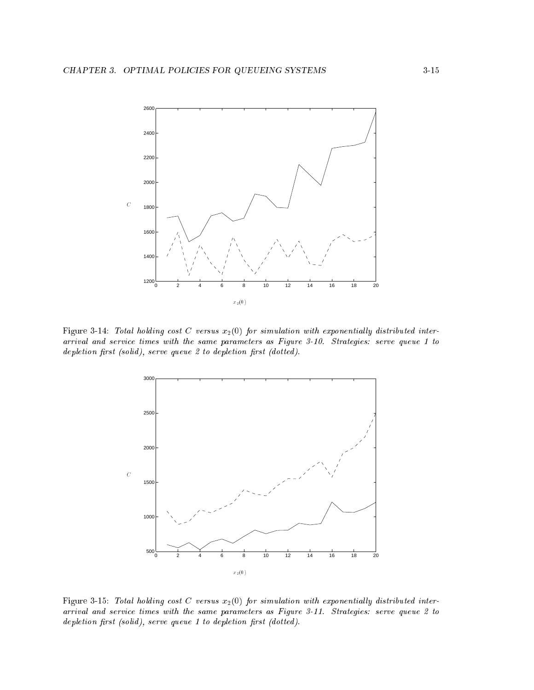

Figure 3-14: Total holding cost C versus  $x_2(0)$  for simulation with exponentially distributed interarrival and service times with the same parameters as Figure 3-10. Strategies: serve queue <sup>1</sup> to  $depletion$  first (solid), serve queue 2 to depletion first (dotted).



Figure 3-15: Total holding cost C versus  $x_2(0)$  for simulation with exponentially distributed interarrival and service times with the same parameters as Figure 3-11. Strategies: serve queue 2 to  $depletion first (solid), serve queue 1 to depletion first (dotted).$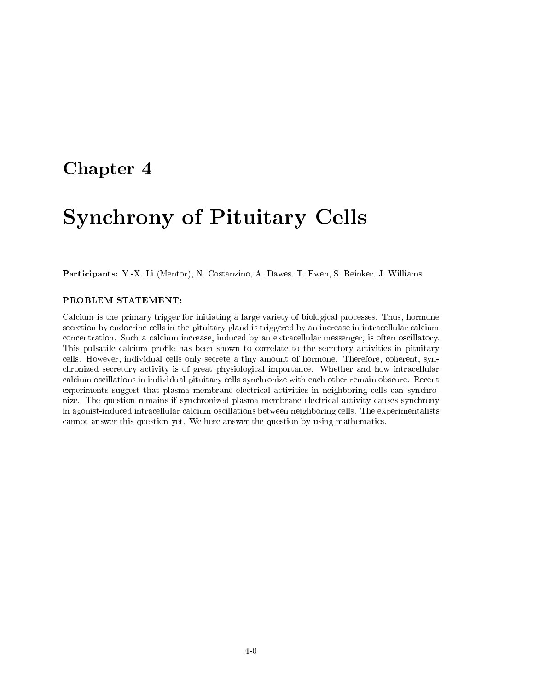## Chapter <sup>4</sup>

# Synchrony of Pituitary Cells

Participants: Y.-X. Li (Mentor), N. Costanzino, A. Dawes, T. Ewen, S. Reinker, J. Williams

#### PROBLEM STATEMENT:

Calcium is the primary trigger for initiating a large variety of biological processes. Thus, hormone secretion by endocrine cells in the pituitary gland is triggered by an increase in intracellular calcium concentration. Such a calcium increase, induced by an extracellular messenger, is often oscillatory. This pulsatile calcium profile has been shown to correlate to the secretory activities in pituitary cells. However, individual cells only secrete a tiny amount of hormone. Therefore, coherent, synchronized secretory activity is of great physiological importance. Whether and how intracellular calcium oscillations in individual pituitary cells synchronize with each other remain obscure. Recent experiments suggest that plasma membrane electrical activities in neighboring cells can synchronize. The question remains if synchronized plasma membrane electrical activity causes synchrony in agonist-induced intracellular calcium oscillations between neighboring cells. The experimentalists cannot answer this question yet. We here answer the question by using mathematics.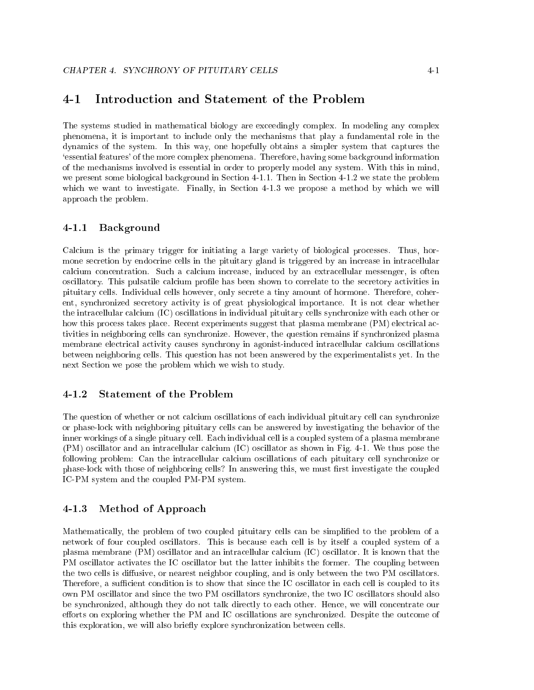#### Introduction and Statement of the Problem  $4 - 1$

The systems studied in mathematical biology are exceedingly complex. In modeling any complex phenomena, it is important to include only the mechanisms that play a fundamental role in the dynamics of the system. In this way, one hopefully obtains a simpler system that captures the `essential features' of the more complex phenomena. Therefore, having some background information of the mechanisms involved is essential in order to properly model any system. With this in mind, we present some biological background in Section 4-1.1. Then in Section 4-1.2 we state the problem which we want to investigate. Finally, in Section 4-1.3 we propose a method by which we will approach the problem.

#### $4 - 1.1$ Background

Calcium is the primary trigger for initiating a large variety of biological processes. Thus, hormone secretion by endocrine cells in the pituitary gland is triggered by an increase in intracellular calcium concentration. Such a calcium increase, induced by an extracellular messenger, is often oscillatory. This pulsatile calcium profile has been shown to correlate to the secretory activities in pituitary cells. Individual cells however, only secrete a tiny amount of hormone. Therefore, coherent, synchronized secretory activity is of great physiological importance. It is not clear whether the intracellular calcium (IC) oscillations in individual pituitary cells synchronize with each other or how this process takes place. Recent experiments suggest that plasma membrane (PM) electrical activities in neighboring cells can synchronize. However, the question remains if synchronized plasma membrane electrical activity causes synchrony in agonist-induced intracellular calcium oscillations between neighboring cells. This question has not been answered by the experimentalists yet. In the next Section we pose the problem which we wish to study.

#### 4-1.2 Statement of the Problem

The question of whether or not calcium oscillations of each individual pituitary cell can synchronize or phase-lock with neighboring pituitary cells can be answered by investigating the behavior of the inner workings of a single pituary cell. Each individual cell is a coupled system of a plasma membrane (PM) oscillator and an intracellular calcium (IC) oscillator as shown in Fig. 4-1. We thus pose the following problem: Can the intracellular calcium oscillations of each pituitary cell synchronize or phase-lock with those of neighboring cells? In answering this, we must first investigate the coupled IC-PM system and the coupled PM-PM system.

### 4-1.3 Method of Approach

Mathematically, the problem of two coupled pituitary cells can be simplified to the problem of a network of four coupled oscillators. This is because each cell is by itself a coupled system of a plasma membrane (PM) oscillator and an intracellular calcium (IC) oscillator. It is known that the PM oscillator activates the IC oscillator but the latter inhibits the former. The coupling between the two cells is diffusive, or nearest neighbor coupling, and is only between the two PM oscillators. Therefore, a sufficient condition is to show that since the IC oscillator in each cell is coupled to its own PM oscillator and since the two PM oscillators synchronize, the two IC oscillators should also be synchronized, although they do not talk directly to each other. Hence, we will concentrate our efforts on exploring whether the PM and IC oscillations are synchronized. Despite the outcome of this exploration, we will also briefly explore synchronization between cells.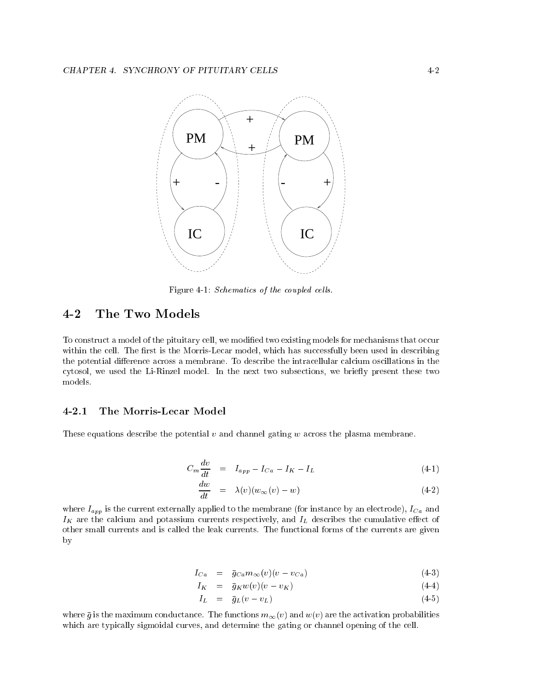

Figure 4-1: Schematics of the coupled cells.

## 4-2 The Two Models

To construct a model of the pituitary cell, we modied two existing models for mechanisms that occur within the cell. The first is the Morris-Lecar model, which has successfully been used in describing the potential difference across a membrane. To describe the intracellular calcium oscillations in the cytosol, we used the Li-Rinzel model. In the next two subsections, we briefly present these two models.

#### 4-2.1 The Morris-Lecar Model

These equations describe the potential  $v$  and channel gating  $w$  across the plasma membrane.

$$
C_m \frac{dv}{dt} = I_{app} - I_{Ca} - I_K - I_L \tag{4-1}
$$

$$
\frac{dw}{dt} = \lambda(v)(w_{\infty}(v) - w) \tag{4-2}
$$

where  $I_{app}$  is the current externally applied to the membrane (for instance by an electrode),  $I_{Ca}$  and  $I_K$  are the calcium and potassium currents respectively, and  $I_L$  describes the cumulative effect of other small currents and is called the leak currents. The functional forms of the currents are given by

$$
I_{Ca} = \bar{g}_{Ca} m_{\infty}(v)(v - v_{Ca}) \qquad (4-3)
$$

$$
I_K = \bar{g}_K w(v)(v - v_K) \tag{4-4}
$$

$$
I_L = \bar{g}_L(v - v_L) \tag{4-5}
$$

where  $\bar{g}$  is the maximum conductance. The functions  $m_{\infty}(v)$  and  $w(v)$  are the activation probabilities which are typically sigmoidal curves, and determine the gating or channel opening of the cell.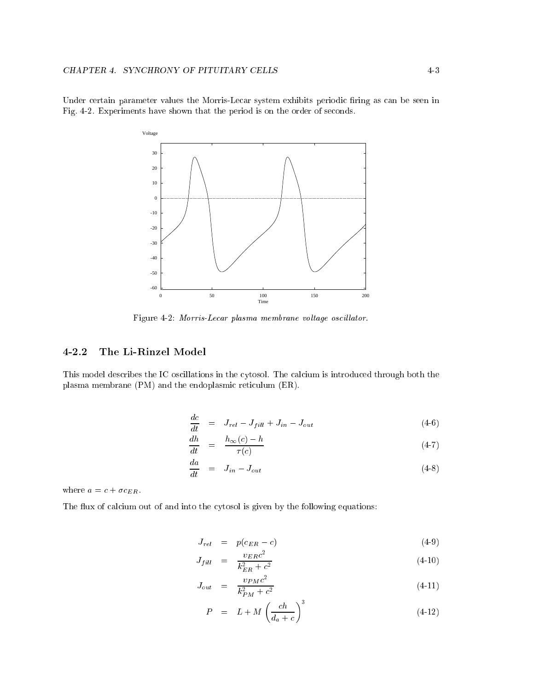Under certain parameter values the Morris-Lecar system exhibits periodic firing as can be seen in Fig. 4-2. Experiments have shown that the period is on the order of seconds.



Figure 4-2: Morris-Lecar plasma membrane voltage oscillator.

## 4-2.2 The Li-Rinzel Model

This model describes the IC oscillations in the cytosol. The calcium is introduced through both the plasma membrane (PM) and the endoplasmic reticulum (ER).

$$
\frac{dc}{dt} = J_{rel} - J_{fill} + J_{in} - J_{out} \tag{4-6}
$$

$$
\frac{dh}{dt} = \frac{h_{\infty}(c) - h}{\tau(c)} \tag{4-7}
$$

$$
\frac{da}{dt} = J_{in} - J_{out} \tag{4-8}
$$

where  $a = c + \sigma c_{ER}$ .

The flux of calcium out of and into the cytosol is given by the following equations:

$$
J_{rel} = p(c_{ER} - c) \tag{4-9}
$$

$$
J_{fill} = \frac{v_{ER}c^2}{k_{ER}^2 + c^2} \tag{4-10}
$$

$$
J_{out} = \frac{v_{PM}c^2}{k_{PM}^2 + c^2} \tag{4-11}
$$

$$
P = L + M \left(\frac{ch}{d_a + c}\right)^3 \tag{4-12}
$$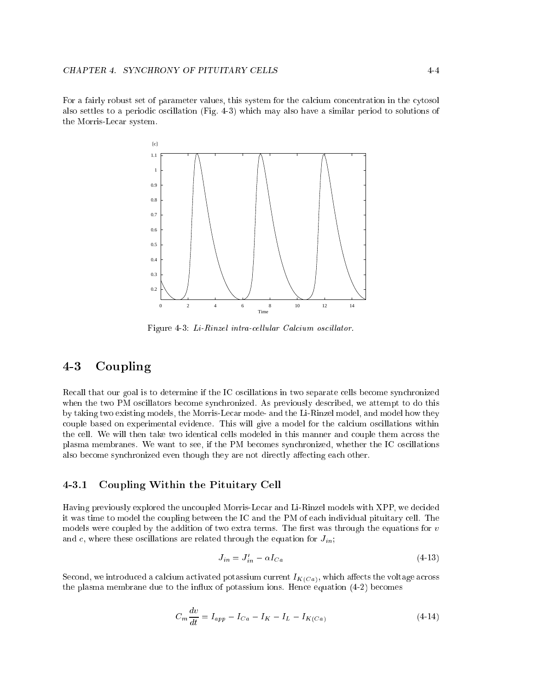For a fairly robust set of parameter values, this system for the calcium concentration in the cytosol also settles to a periodic oscillation (Fig. 4-3) which may also have a similar period to solutions of the Morris-Lecar system.



Figure 4-3: Li-Rinzel intra-cellular Calcium oscillator.

## 4-3 Coupling

Recall that our goal is to determine if the IC oscillations in two separate cells become synchronized when the two PM oscillators become synchronized. As previously described, we attempt to do this by taking two existing models, the Morris-Lecar mode- and the Li-Rinzel model, and model how they couple based on experimental evidence. This will give a model for the calcium oscillations within the cell. We will then take two identical cells modeled in this manner and couple them across the plasma membranes. We want to see, if the PM becomes synchronized, whether the IC oscillations also become synchronized even though they are not directly affecting each other.

#### 4-3.1 Coupling Within the Pituitary Cell

Having previously explored the uncoupled Morris-Lecar and Li-Rinzel models with XPP, we decided it was time to model the coupling between the IC and the PM of each individual pituitary cell. The models were coupled by the addition of two extra terms. The first was through the equations for  $v$ and c, where these oscillations are related through the equation for  $J_{in;}$ 

$$
J_{in} = J'_{in} - \alpha I_{Ca} \tag{4-13}
$$

Second, we introduced a calcium activated potassium current  $I_{K(Ca)}$ , which affects the voltage across the plasma membrane due to the influx of potassium ions. Hence equation  $(4-2)$  becomes

$$
C_m \frac{dv}{dt} = I_{app} - I_{Ca} - I_K - I_L - I_{K(Ca)}
$$
\n(4-14)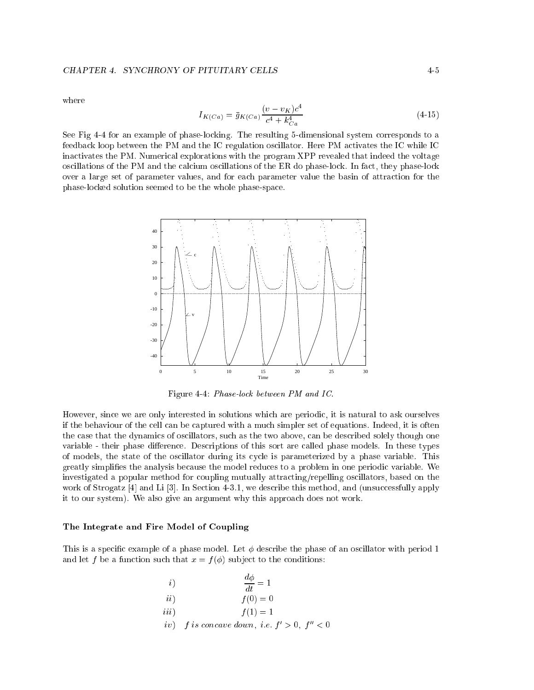#### CHAPTER 4. SYNCHRONY OF PITUITARY CELLS 4-5

where

$$
I_{K(Ca)} = \bar{g}_{K(Ca)} \frac{(v - v_K)c^4}{c^4 + k_{Ca}^4}
$$
\n(4-15)

See Fig 4-4 for an example of phase-locking. The resulting 5-dimensional system corresponds to a feedback loop between the PM and the IC regulation oscillator. Here PM activates the IC while IC inactivates the PM. Numerical explorations with the program XPP revealed that indeed the voltage oscillations of the PM and the calcium oscillations of the ER do phase-lock. In fact, they phase-lock over a large set of parameter values, and for each parameter value the basin of attraction for the phase-locked solution seemed to be the whole phase-space.



Figure 4-4: Phase-lock between PM and IC.

However, since we are only interested in solutions which are periodic, it is natural to ask ourselves if the behaviour of the cell can be captured with a much simpler set of equations. Indeed, it is often the case that the dynamics of oscillators, such as the two above, can be described solely though one variable - their phase difference. Descriptions of this sort are called phase models. In these types of models, the state of the oscillator during its cycle is parameterized by a phase variable. This greatly simplies the analysis because the model reduces to a problem in one periodic variable. We investigated a popular method for coupling mutually attracting/repelling oscillators, based on the work of Strogatz [4] and Li [3]. In Section 4-3.1, we describe this method, and (unsuccessfully apply it to our system). We also give an argument why this approach does not work.

#### The Integrate and Fire Model of Coupling

This is a specific example of a phase model. Let  $\phi$  describe the phase of an oscillator with period 1 and let f be a function such that  $x = f(\phi)$  subject to the conditions:

| i)   | $\frac{d\phi}{dt} = 1$                           |
|------|--------------------------------------------------|
| ii)  | $f(0) = 0$                                       |
| iii) | $f(1) = 1$                                       |
|      | iv) f is concave down, i.e. $f' > 0$ , $f'' < 0$ |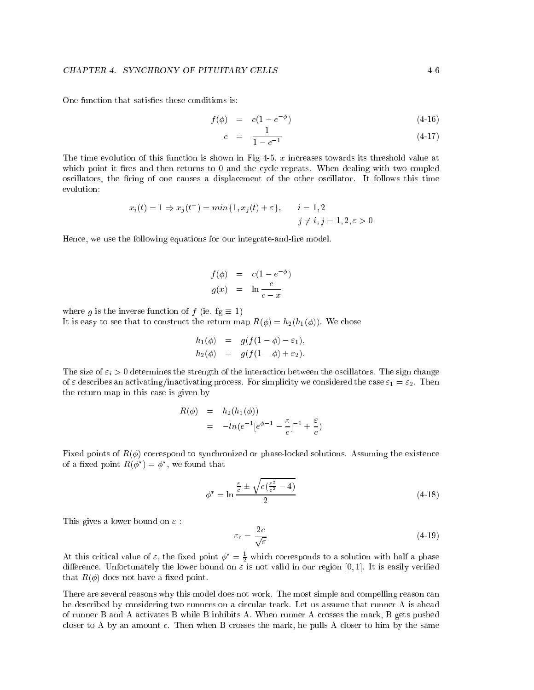One function that satisfies these conditions is:

$$
f(\phi) = c(1 - e^{-\phi}) \tag{4-16}
$$

$$
c = \frac{1}{1 - e^{-1}} \tag{4-17}
$$

The time evolution of this function is shown in Fig  $4-5$ , x increases towards its threshold value at which point it fires and then returns to 0 and the cycle repeats. When dealing with two coupled oscillators, the firing of one causes a displacement of the other oscillator. It follows this time evolution:

$$
x_i(t) = 1 \Rightarrow x_j(t^+) = \min\{1, x_j(t) + \varepsilon\}, \qquad i = 1, 2
$$
  

$$
j \neq i, j = 1, 2, \varepsilon > 0
$$

Hence, we use the following equations for our integrate-and-fire model.

$$
f(\phi) = c(1 - e^{-\phi})
$$
  

$$
g(x) = \ln \frac{c}{c - x}
$$

where g is the inverse function of f (ie.  $fg \equiv 1$ )

It is easy to see that to construct the return map  $R(\phi) = h_2(h_1(\phi))$ . We chose

$$
h_1(\phi) = g(f(1-\phi) - \varepsilon_1),
$$
  
\n
$$
h_2(\phi) = g(f(1-\phi) + \varepsilon_2).
$$

The size of  $\varepsilon_i > 0$  determines the strength of the interaction between the oscillators. The sign change of  $\varepsilon$  describes an activating/inactivating process. For simplicity we considered the case  $\varepsilon_1 = \varepsilon_2$ . Then the return map in this case is given by

$$
R(\phi) = h_2(h_1(\phi))
$$
  
=  $-ln(e^{-1}[e^{\phi-1} - \frac{\varepsilon}{c}]^{-1} + \frac{\varepsilon}{c})$ 

Fixed points of  $R(\phi)$  correspond to synchronized or phase-locked solutions. Assuming the existence of a fixed point  $R(\varphi) = \varphi$ , we found that

$$
\phi^* = \ln \frac{\frac{\varepsilon}{c} \pm \sqrt{e(\frac{\varepsilon^2}{c^2} - 4)}}{2} \tag{4-18}
$$

This gives a lower bound on  $\varepsilon$ :

$$
\varepsilon_c = \frac{2c}{\sqrt{\varepsilon}}\tag{4-19}
$$

At this critical value of  $\varepsilon$ , the fixed point  $\phi^+=\frac{1}{2}$  which corresponds to a solution with half a phase difference. Unfortunately the lower bound on  $\epsilon$  is not valid in our region [0, 1]. It is easily verified that  $R(\phi)$  does not have a fixed point.

There are several reasons why this model does not work. The most simple and compelling reason can be described by considering two runners on a circular track. Let us assume that runner A is ahead of runner B and A activates B while B inhibits A. When runner A crosses the mark, B gets pushed closer to A by an amount  $\epsilon$ . Then when B crosses the mark, he pulls A closer to him by the same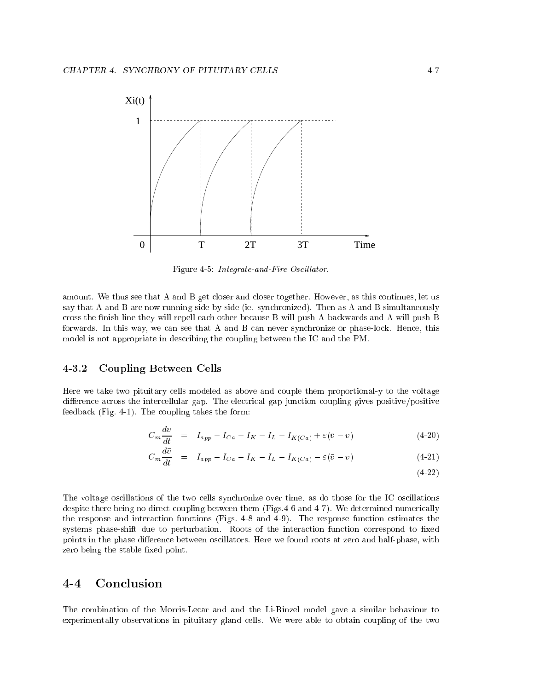

Figure 4-5: Integrate-and-Fire Oscillator.

amount. We thus see that A and B get closer and closer together. However, as this continues, let us say that A and B are now running side-by-side (ie. synchronized). Then as A and B simultaneously cross the finish line they will repell each other because B will push A backwards and A will push B forwards. In this way, we can see that A and B can never synchronize or phase-lock. Hence, this model is not appropriate in describing the coupling between the IC and the PM.

### 4-3.2 Coupling Between Cells

Here we take two pituitary cells modeled as above and couple them proportional-y to the voltage difference across the intercellular gap. The electrical gap junction coupling gives positive/positive feedback (Fig. 4-1). The coupling takes the form:

$$
C_m \frac{dv}{dt} = I_{app} - I_{Ca} - I_K - I_L - I_{K(Ca)} + \varepsilon (\bar{v} - v) \tag{4-20}
$$

$$
C_m \frac{dv}{dt} = I_{app} - I_{Ca} - I_K - I_L - I_{K(Ca)} - \varepsilon (\bar{v} - v) \tag{4-21}
$$

(4-22)

The voltage oscillations of the two cells synchronize over time, as do those for the IC oscillations despite there being no direct coupling between them (Figs.4-6 and 4-7). We determined numerically the response and interaction functions (Figs. 4-8 and 4-9). The response function estimates the systems phase-shift due to perturbation. Roots of the interaction function correspond to fixed points in the phase difference between oscillators. Here we found roots at zero and half-phase, with zero being the stable fixed point.

#### **Conclusion**  $4 - 4$

The combination of the Morris-Lecar and and the Li-Rinzel model gave a similar behaviour to experimentally observations in pituitary gland cells. We were able to obtain coupling of the two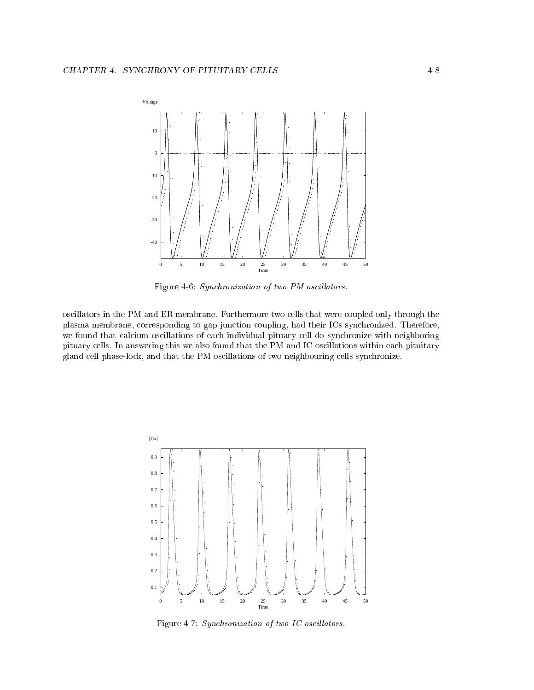

Figure 4-6: Synchronization of two PM oscillators.

oscillators in the PM and ER membrane. Furthermore two cells that were coupled only through the plasma membrane, corresponding to gap junction coupling, had their ICs synchronized. Therefore, we found that calcium oscillations of each individual pituary cell do synchronize with neighboring pituary cells. In answering this we also found that the PM and IC oscillations within each pituitary gland cell phase-lock, and that the PM oscillations of two neighbouring cells synchronize.



Figure 4-7: Synchronization of two IC oscillators.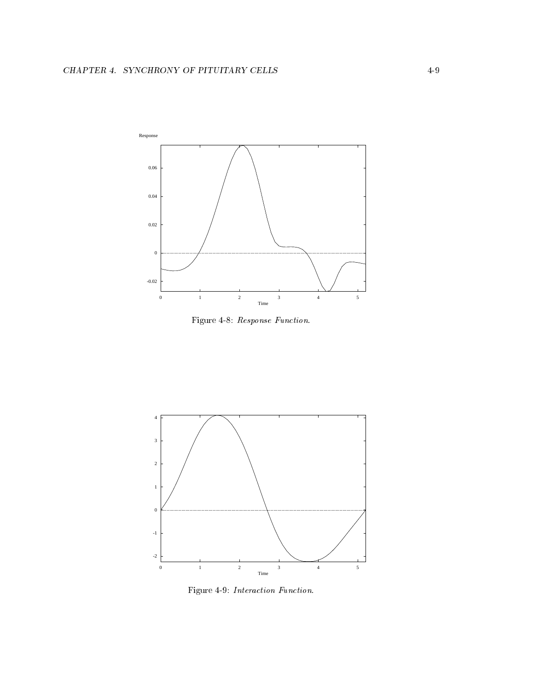

Figure 4-8: Response Function.



Figure 4-9: Interaction Function.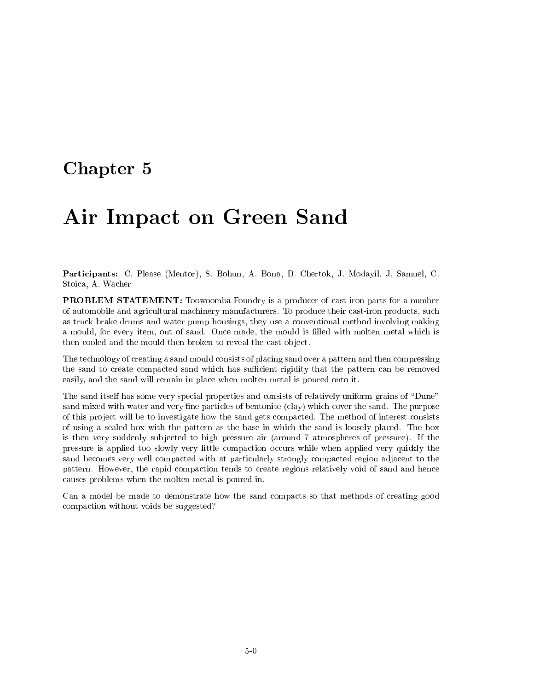## Chapter <sup>5</sup>

# Air Impact on Green Sand

Participants: C. Please (Mentor), S. Bohun, A. Bona, D. Chertok, J. Modayil, J. Samuel, C. Stoica, A. Wacher

PROBLEM STATEMENT: Toowoomba Foundry is a producer of cast-iron parts for a number of automobile and agricultural machinery manufacturers. To produce their cast-iron products, such as truck brake drums and water pump housings, they use a conventional method involving making a mould, for every item, out of sand. Once made, the mould is filled with molten metal which is then cooled and the mould then broken to reveal the cast object.

The technology of creating a sand mould consists of placing sand over a pattern and then compressing the sand to create compacted sand which has sufficient rigidity that the pattern can be removed easily, and the sand will remain in place when molten metal is poured onto it.

The sand itself has some very special properties and consists of relatively uniform grains of "Dune" sand mixed with water and very fine particles of bentonite (clay) which cover the sand. The purpose of this project will be to investigate how the sand gets compacted. The method of interest consists of using a sealed box with the pattern as the base in which the sand is loosely placed. The box is then very suddenly subjected to high pressure air (around 7 atmospheres of pressure). If the pressure is applied too slowly very little compaction occurs while when applied very quickly the sand becomes very well compacted with at particularly strongly compacted region adjacent to the pattern. However, the rapid compaction tends to create regions relatively void of sand and hence causes problems when the molten metal is poured in.

Can a model be made to demonstrate how the sand compacts so that methods of creating good compaction without voids be suggested?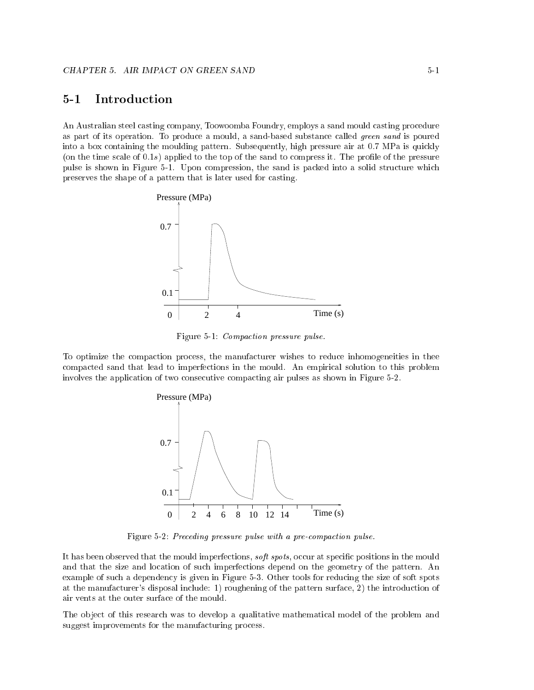#### **Introduction**  $5 - 1$

An Australian steel casting company, Toowoomba Foundry, employs a sand mould casting procedure as part of its operation. To produce a mould, a sand-based substance called green sand is poured into a box containing the moulding pattern. Subsequently, high pressure air at 0:7 MPa is quickly (on the time scale of  $(0.1s)$ ) applied to the top of the sand to compress it. The profile of the pressure pulse is shown in Figure 5-1. Upon compression, the sand is packed into a solid structure which preserves the shape of a pattern that is later used for casting.



Figure 5-1: Compaction pressure pulse.

To optimize the compaction process, the manufacturer wishes to reduce inhomogeneities in thee compacted sand that lead to imperfections in the mould. An empirical solution to this problem involves the application of two consecutive compacting air pulses as shown in Figure 5-2.



Figure 5-2: Preceding pressure pulse with a pre-compaction pulse.

It has been observed that the mould imperfections, *soft spots*, occur at specific positions in the mould and that the size and location of such imperfections depend on the geometry of the pattern. An example of such a dependency is given in Figure 5-3. Other tools for reducing the size of soft spots at the manufacturer's disposal include: 1) roughening of the pattern surface, 2) the introduction of air vents at the outer surface of the mould.

The object of this research was to develop a qualitative mathematical model of the problem and suggest improvements for the manufacturing process.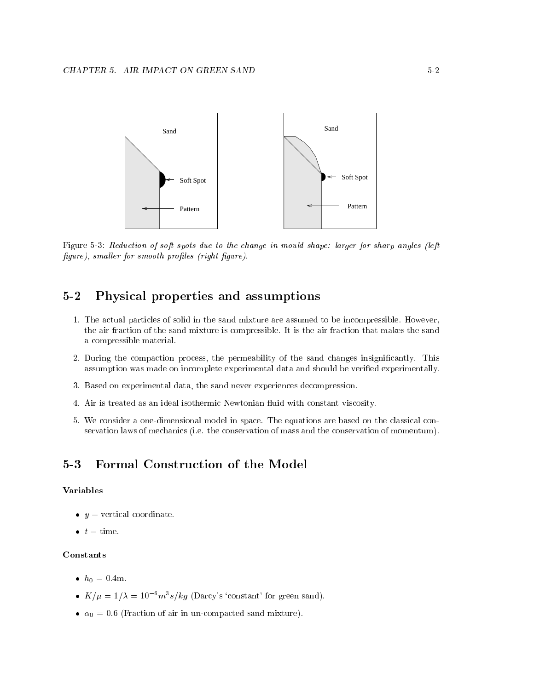

Figure 5-3: Reduction of soft spots due to the change in mould shape: larger for sharp angles (left  $figure$ ), smaller for smooth profiles (right figure).

#### Physical properties and assumptions  $5-2$

- 1. The actual particles of solid in the sand mixture are assumed to be incompressible. However, the air fraction of the sand mixture is compressible. It is the air fraction that makes the sand a compressible material.
- 2. During the compaction process, the permeability of the sand changes insignicantly. This assumption was made on incomplete experimental data and should be verified experimentally.
- 3. Based on experimental data, the sand never experiences decompression.
- 4. Air is treated as an ideal isothermic Newtonian fluid with constant viscosity.
- 5. We consider a one-dimensional model in space. The equations are based on the classical conservation laws of mechanics (i.e. the conservation of mass and the conservation of momentum).

#### Formal Construction of the Model  $5 - 3$

#### Variables

- $\bullet$   $y =$  vertical coordinate.
- $t =$  time.

#### Constants

- $h_0 = 0.4$ m.
- $K/u = 1/\lambda = 10^{-6} m^3 s/kg$  (Darcy's 'constant' for green sand).
- $\bullet \ \alpha_0 = 0.6$  (Fraction of air in un-compacted sand mixture).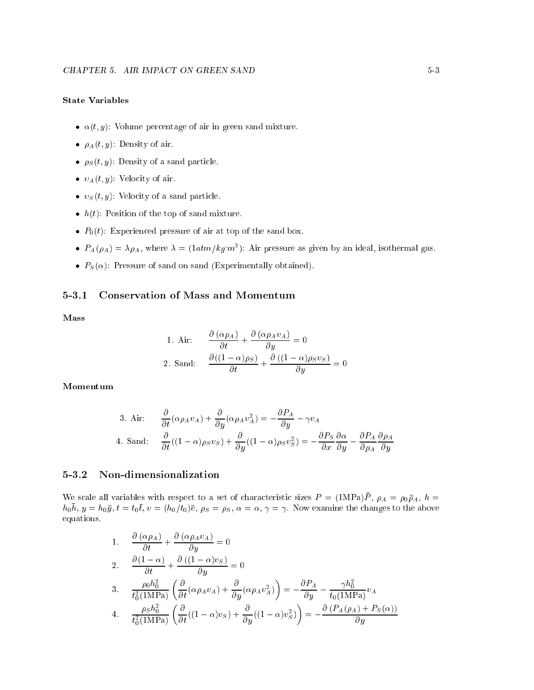## State Variables

- $\alpha(t, y)$ : Volume percentage of air in green sand mixture.
- $\rho_A(t, y)$ : Density of air.
- $\rho_S(t, y)$ : Density of a sand particle.
- $v_A(t, y)$ : Velocity of air.
- $v_S(t, y)$ : Velocity of a sand particle.
- $h(t)$ : Position of the top of sand mixture.
- $P_0(t)$ : Experienced pressure of air at top of the sand box.
- $P_A(\rho_A) = \lambda \rho_A$ , where  $\lambda = (1atm/kg \ m^3)$ : Air pressure as given by an ideal, isothermal gas.
- $P_S(\alpha)$ : Pressure of sand on sand (Experimentally obtained).

#### $5 - 3.1$ 5-3.1 Conservation of Mass and Momentum

Mass

1. Air: 
$$
\frac{\partial (\alpha \rho_A)}{\partial t} + \frac{\partial (\alpha \rho_A v_A)}{\partial y} = 0
$$
  
2. Sand: 
$$
\frac{\partial ((1 - \alpha)\rho_S)}{\partial t} + \frac{\partial ((1 - \alpha)\rho_S v_S)}{\partial y} = 0
$$

Momentum

3. Air: 
$$
\frac{\partial}{\partial t}(\alpha \rho_A v_A) + \frac{\partial}{\partial y}(\alpha \rho_A v_A^2) = -\frac{\partial P_A}{\partial y} - \gamma v_A
$$
  
4. Sand: 
$$
\frac{\partial}{\partial t}((1 - \alpha)\rho_S v_S) + \frac{\partial}{\partial y}((1 - \alpha)\rho_S v_S^2) = -\frac{\partial P_S}{\partial x}\frac{\partial \alpha}{\partial y} - \frac{\partial P_A}{\partial \rho_A}\frac{\partial \rho_A}{\partial y}
$$

## 5-3.2 Non-dimensionalization

We scale all variables with respect to a set of characteristic sizes  $P = (1MPA)P$ ,  $\rho_A = \rho_0 \rho_A$ ,  $n =$  $n_0n$ ,  $y = n_0y$ ,  $t = t_0t$ ,  $v = (n_0/t_0)v$ ,  $\rho_S = \rho_S$ ,  $\alpha = \alpha$ ,  $\gamma = \gamma$ . Now examine the changes to the above equations.

1. 
$$
\frac{\partial (\alpha \rho_A)}{\partial t} + \frac{\partial (\alpha \rho_A v_A)}{\partial y} = 0
$$
  
\n2. 
$$
\frac{\partial (1 - \alpha)}{\partial t} + \frac{\partial ((1 - \alpha) v_S)}{\partial y} = 0
$$
  
\n3. 
$$
\frac{\rho_0 h_0^2}{t_0^2 (1 \text{ MPa})} \left( \frac{\partial}{\partial t} (\alpha \rho_A v_A) + \frac{\partial}{\partial y} (\alpha \rho_A v_A^2) \right) = -\frac{\partial P_A}{\partial y} - \frac{\gamma h_0^2}{t_0 (1 \text{ MPa})} v_A
$$
  
\n4. 
$$
\frac{\rho_S h_0^2}{t_0^2 (1 \text{ MPa})} \left( \frac{\partial}{\partial t} ((1 - \alpha) v_S) + \frac{\partial}{\partial y} ((1 - \alpha) v_S^2) \right) = -\frac{\partial (P_A(\rho_A) + P_S(\alpha))}{\partial y}
$$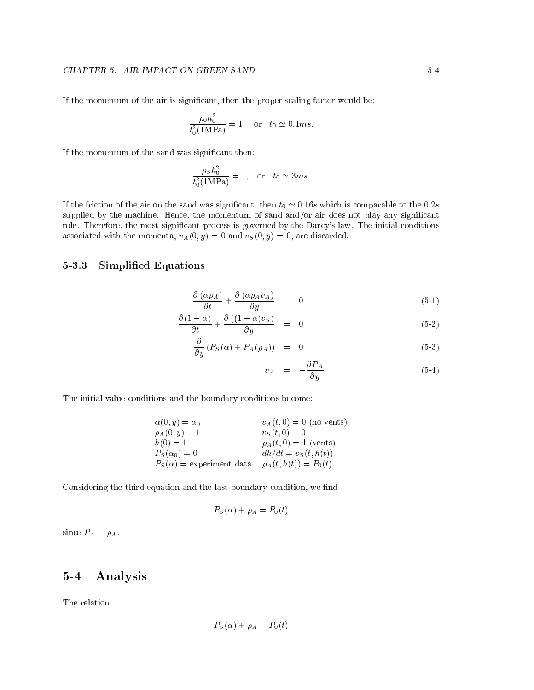If the momentum of the air is signicant, then the proper scaling factor would be:

$$
\frac{\rho_0 h_0^2}{t_0^2 (1 \text{MPa})} = 1, \text{ or } t_0 \simeq 0.1 ms.
$$

If the momentum of the sand was significant then:

$$
\frac{\rho_S h_0^2}{t_0^2(1\text{MPa})} = 1, \quad \text{or} \quad t_0 \simeq 3ms.
$$

If the friction of the air on the sand was significant, then  $t_0 \approx 0.16s$  which is comparable to the  $0.2s$ supplied by the machine. Hence, the momentum of sand and/or air does not play any significant role. Therefore, the most signicant process is governed by the Darcy's law. The initial conditions associated with the momenta,  $v_A(0, y) = 0$  and  $v_S(0, y) = 0$ , are discarded.

### 5-3.3 Simplied Equations

$$
\frac{\partial (\alpha \rho_A)}{\partial t} + \frac{\partial (\alpha \rho_A v_A)}{\partial y} = 0 \tag{5-1}
$$

$$
\frac{\partial (1 - \alpha)}{\partial t} + \frac{\partial ((1 - \alpha)v_s)}{\partial y} = 0 \tag{5-2}
$$

$$
\frac{\partial}{\partial y} \left( P_S(\alpha) + P_A(\rho_A) \right) = 0 \tag{5-3}
$$

$$
v_A = -\frac{\partial P_A}{\partial y} \tag{5-4}
$$

The initial value conditions and the boundary conditions become:

| $\alpha(0, y) = \alpha_0$       | $v_A(t, 0) = 0$ (no vents) |
|---------------------------------|----------------------------|
| $\rho_A(0, y) = 1$              | $v_S(t,0) = 0$             |
| $h(0) = 1$                      | $\rho_A(t,0) = 1$ (vents)  |
| $P_S(\alpha_0)=0$               | $dh/dt = v_S(t, h(t))$     |
| $P_S(\alpha)$ = experiment data | $\rho_A(t, h(t)) = P_0(t)$ |

Considering the third equation and the last boundary condition, we find

$$
P_S(\alpha) + \rho_A = P_0(t)
$$

since  $P_A = \rho_A$ .

## 5-4 Analysis

The relation

$$
P_S(\alpha) + \rho_A = P_0(t)
$$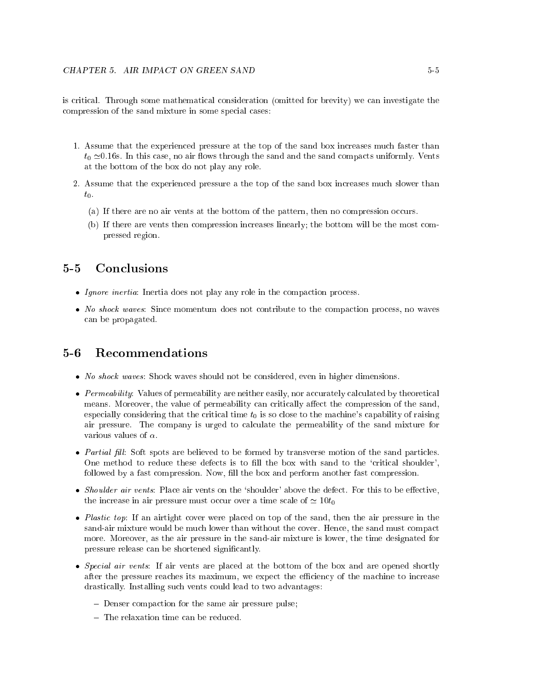is critical. Through some mathematical consideration (omitted for brevity) we can investigate the compression of the sand mixture in some special cases:

- 1. Assume that the experienced pressure at the top of the sand box increases much faster than  $t_0 \approx 0.16$ s. In this case, no air flows through the sand and the sand compacts uniformly. Vents at the bottom of the box do not play any role.
- 2. Assume that the experienced pressure a the top of the sand box increases much slower than  $t_0$ .
	- (a) If there are no air vents at the bottom of the pattern, then no compression occurs.
	- (b) If there are vents then compression increases linearly; the bottom will be the most compressed region.

#### $5 - 5$ Conclusions

- Ignore inertia: Inertia does not play any role in the compaction process.
- No shock waves: Since momentum does not contribute to the compaction process, no waves can be propagated.

#### $5-6$ **Recommendations**

- No shock waves: Shock waves should not be considered, even in higher dimensions.
- Permeability: Values of permeability are neither easily, nor accurately calculated by theoretical means. Moreover, the value of permeability can critically affect the compression of the sand, especially considering that the critical time  $t_0$  is so close to the machine's capability of raising air pressure. The company is urged to calculate the permeability of the sand mixture for various values of  $\alpha$ .
- $\bullet$  Partial fill: Soft spots are believed to be formed by transverse motion of the sand particles. One method to reduce these defects is to fill the box with sand to the 'critical shoulder', followed by a fast compression. Now, fill the box and perform another fast compression.
- Shoulder air vents: Place air vents on the 'shoulder' above the defect. For this to be effective, the increase in air pressure must occur over a time scale of  $\simeq 10t_0$
- Plastic top: If an airtight cover were placed on top of the sand, then the air pressure in the sand-air mixture would be much lower than without the cover. Hence, the sand must compact more. Moreover, as the air pressure in the sand-air mixture is lower, the time designated for pressure release can be shortened signicantly.
- Special air vents: If air vents are placed at the bottom of the box and are opened shortly after the pressure reaches its maximum, we expect the efficiency of the machine to increase drastically. Installing such vents could lead to two advantages:
	- Denser compaction for the same air pressure pulse;
	- $-$  The relaxation time can be reduced.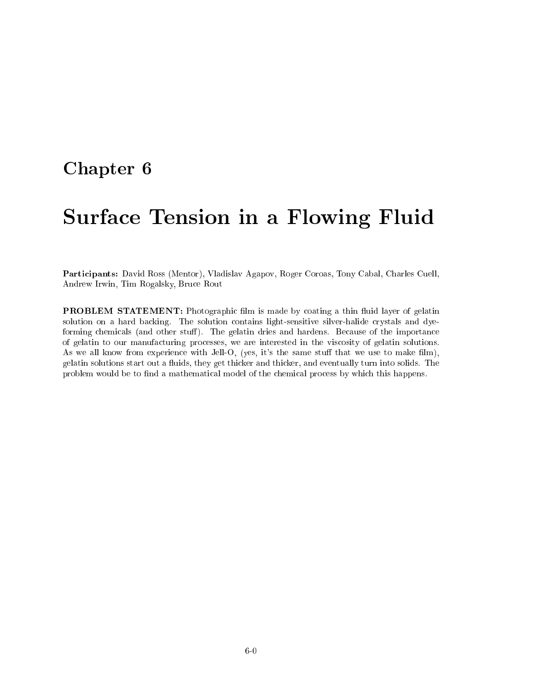## Chapter <sup>6</sup>

# Surface Tension in a Flowing Fluid

Participants: David Ross (Mentor), Vladislav Agapov, Roger Coroas, Tony Cabal, Charles Cuell, Andrew Irwin, Tim Rogalsky, Bruce Rout

PROBLEM STATEMENT: Photographic film is made by coating a thin fluid layer of gelatin solution on a hard backing. The solution contains light-sensitive silver-halide crystals and dyeforming chemicals (and other stuff). The gelatin dries and hardens. Because of the importance of gelatin to our manufacturing processes, we are interested in the viscosity of gelatin solutions. As we all know from experience with Jell-O, (yes, it's the same stuff that we use to make film), gelatin solutions start out a uids, they get thicker and thicker, and eventually turn into solids. The problem would be to find a mathematical model of the chemical process by which this happens.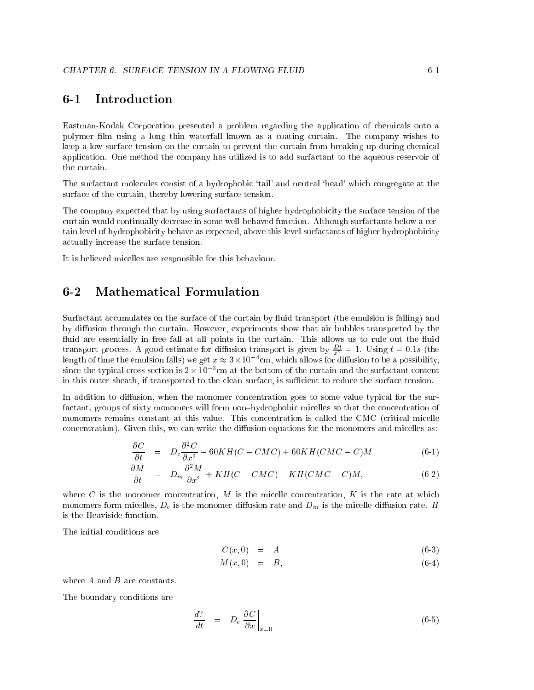#### **Introduction**  $6 - 1$

Eastman-Kodak Corporation presented a problem regarding the application of chemicals onto a polymer film using a long thin waterfall known as a coating curtain. The company wishes to keep a low surface tension on the curtain to prevent the curtain from breaking up during chemical application. One method the company has utilized is to add surfactant to the aqueous reservoir of the curtain.

The surfactant molecules consist of a hydrophobic 'tail' and neutral 'head' which congregate at the surface of the curtain, thereby lowering surface tension.

The company expected that by using surfactants of higher hydrophobicity the surface tension of the curtain would continually decrease in some well-behaved function. Although surfactants below a certain level of hydrophobicity behave as expected, above this level surfactants of higher hydrophobicity actually increase the surface tension.

It is believed micelles are responsible for this behaviour.

## 6-2 Mathematical Formulation

Surfactant accumulates on the surface of the curtain by fluid transport (the emulsion is falling) and by diffusion through the curtain. However, experiments show that air bubbles transported by the fluid are essentially in free fall at all points in the curtain. This allows us to rule out the fluid transport process. A good estimate for diffusion transport is given by  $\frac{Dt}{x^2} = 1$ . Using  $t = 0.1s$  (the length of time the emulsion fails) we get  $x \approx 5 \times 10^{50}$  cm, which allows for diffusion to be a possibility,  $\sin$ ce the typical cross section is 2  $\times$  10  $\,$  cm at the bottom of the curtain and the surfactant content in this outer sheath, if transported to the clean surface, is sufficient to reduce the surface tension.

In addition to diffusion, when the monomer concentration goes to some value typical for the surfactant, groups of sixty monomers will form non-hydrophobic micelles so that the concentration of monomers remains constant at this value. This concentration is called the CMC (critical micelle concentration). Given this, we can write the diffusion equations for the monomers and micelles as:

$$
\frac{\partial C}{\partial t} = D_c \frac{\partial^2 C}{\partial x^2} - 60KH(C - CMC) + 60KH(CMC - C)M \tag{6-1}
$$

$$
\frac{\partial M}{\partial t} = D_m \frac{\partial^2 M}{\partial x^2} + KH(C - CMC) - KH(CMC - C)M, \tag{6-2}
$$

where C is the monomer concentration, M is the micelle concentration, K is the rate at which monomers form micelles,  $D_c$  is the monomer diffusion rate and  $D_m$  is the micelle diffusion rate. H is the Heaviside function.

The initial conditions are

$$
C(x,0) = A \tag{6-3}
$$

$$
M(x,0) = B, \tag{6-4}
$$

where A and B are constants.

The boundary conditions are

$$
\frac{d?}{dt} = D_c \left. \frac{\partial C}{\partial x} \right|_{x=0} \tag{6-5}
$$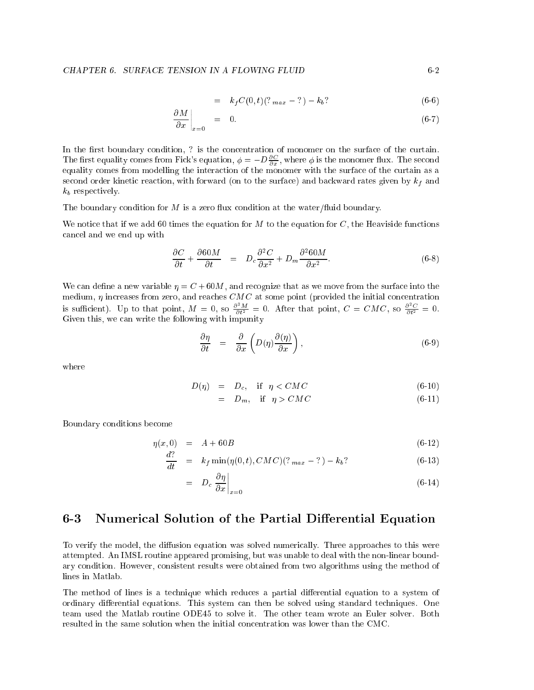$$
= k_f C(0, t)(?_{max} - ?) - k_b?
$$
\n(6-6)

$$
\left. \frac{\partial M}{\partial x} \right|_{x=0} = 0. \tag{6-7}
$$

In the first boundary condition, ? is the concentration of monomer on the surface of the curtain. The first equality comes from Fick's equation,  $\phi = -D\frac{\partial C}{\partial x}$ , where  $\phi$  is the monomer flux. The second equality comes from modelling the interaction of the monomer with the surface of the curtain as a second order kinetic reaction, with forward (on to the surface) and backward rates given by  $k_f$  and  $k_b$  respectively.

The boundary condition for  $M$  is a zero flux condition at the water/fluid boundary.

We notice that if we add 60 times the equation for  $M$  to the equation for  $C$ , the Heaviside functions cancel and we end up with

$$
\frac{\partial C}{\partial t} + \frac{\partial 60M}{\partial t} = D_c \frac{\partial^2 C}{\partial x^2} + D_m \frac{\partial^2 60M}{\partial x^2}.
$$
 (6-8)

We can define a new variable  $\eta = C + 60M$ , and recognize that as we move from the surface into the medium,  $\eta$  increases from zero, and reaches  $CMC$  at some point (provided the initial concentration is sufficient). Up to that point,  $M = 0$ , so  $\frac{\partial^2 M}{\partial t^2} = 0$ . After that point,  $C = CMC$ , so  $\frac{\partial^2 C}{\partial t^2} = 0$ . Given this, we can write the following with impunity

$$
\frac{\partial \eta}{\partial t} = \frac{\partial}{\partial x} \left( D(\eta) \frac{\partial(\eta)}{\partial x} \right), \tag{6-9}
$$

where

$$
D(\eta) = D_c, \quad \text{if} \quad \eta < CMC \tag{6-10}
$$

$$
= D_m, \quad \text{if} \quad \eta > CMC \tag{6-11}
$$

Boundary conditions become

$$
\eta(x,0) = A + 60B \tag{6-12}
$$

$$
\frac{d?}{dt} = k_f \min(\eta(0, t), CMC)(?_{max} - ?) - k_b?
$$
\n(6-13)

$$
= D_c \left. \frac{\partial \eta}{\partial x} \right|_{x=0} \tag{6-14}
$$

#### Numerical Solution of the Partial Differential Equation  $6 - 3$

To verify the model, the diffusion equation was solved numerically. Three approaches to this were attempted. An IMSL routine appeared promising, but was unable to deal with the non-linear boundary condition. However, consistent results were obtained from two algorithms using the method of lines in Matlab.

The method of lines is a technique which reduces a partial differential equation to a system of ordinary differential equations. This system can then be solved using standard techniques. One team used the Matlab routine ODE45 to solve it. The other team wrote an Euler solver. Both resulted in the same solution when the initial concentration was lower than the CMC.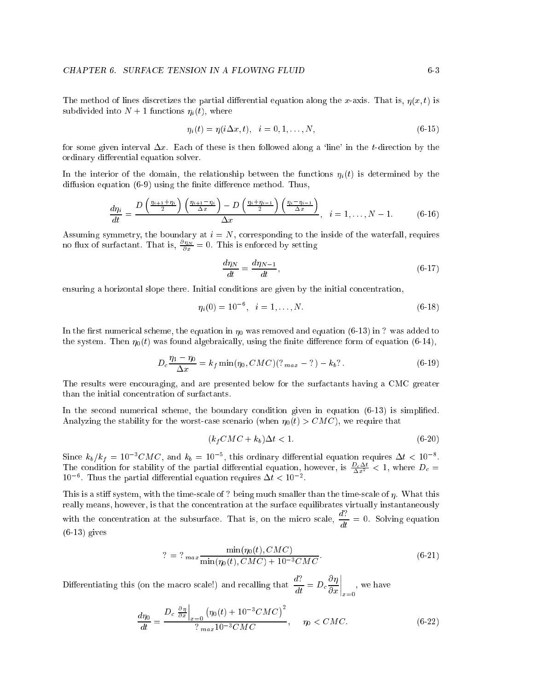The method of lines discretizes the partial differential equation along the x-axis. That is,  $\eta(x, t)$  is subdivided into  $N + 1$  functions  $\eta_i(t)$ , where

$$
\eta_i(t) = \eta(i\Delta x, t), \quad i = 0, 1, \dots, N,
$$
\n(6-15)

for some given interval  $\Delta x$ . Each of these is then followed along a 'line' in the t-direction by the ordinary differential equation solver.

In the interior of the domain, the relationship between the functions  $\eta_i(t)$  is determined by the diffusion equation  $(6-9)$  using the finite difference method. Thus,

$$
\frac{d\eta_i}{dt} = \frac{D\left(\frac{\eta_{i+1} + \eta_i}{2}\right)\left(\frac{\eta_{i+1} - \eta_i}{\Delta x}\right) - D\left(\frac{\eta_i + \eta_{i-1}}{2}\right)\left(\frac{\eta_i - \eta_{i-1}}{\Delta x}\right)}{\Delta x}, \quad i = 1, \dots, N-1.
$$
 (6-16)

Assuming symmetry, the boundary at  $i = N$ , corresponding to the inside of the waterfall, requires no flux of surfactant. That is,  $\frac{\partial \eta_N}{\partial x} = 0$ . This is enforced by setting

$$
\frac{d\eta_N}{dt} = \frac{d\eta_{N-1}}{dt},\tag{6-17}
$$

ensuring a horizontal slope there. Initial conditions are given by the initial concentration,

$$
\eta_i(0) = 10^{-6}, \quad i = 1, \dots, N. \tag{6-18}
$$

In the first numerical scheme, the equation in  $\eta_0$  was removed and equation (6-13) in ? was added to the system. Then  $\eta_0(t)$  was found algebraically, using the finite difference form of equation (6-14),

$$
D_c \frac{\eta_1 - \eta_0}{\Delta x} = k_f \min(\eta_0, CMC) (?_{max} - ?) - k_b?
$$
 (6-19)

The results were encouraging, and are presented below for the surfactants having a CMC greater than the initial concentration of surfactants.

In the second numerical scheme, the boundary condition given in equation  $(6-13)$  is simplified. Analyzing the stability for the worst-case scenario (when  $\eta_0(t) > CMC$ ), we require that

$$
(k_f CMC + k_b)\Delta t < 1. \tag{6-20}
$$

Since  $\kappa_b/\kappa_f = 10^{-1}$ CMC, and  $\kappa_b = 10^{-1}$ , this ordinary differential equation requires  $\Delta t < 10^{-1}$ .<br>The condition for stability of the partial differential equation, however, is  $\frac{D_c \Delta t}{\Delta x^2} < 1$ , where  $D_c =$  $10$  . Thus the partial differential equation requires  $\Delta t \leq 10^{-7}$ .

This is a stiff system, with the time-scale of ? being much smaller than the time-scale of  $\eta$ . What this really means, however, is that the concentration at the surface equilibrates virtually instantaneously with the concentration at the subsurface. That is, on the micro scale,  $\frac{d\mathbf{x}}{dt} = 0$ . Solving equation  $(6-13)$  gives

$$
? = ?_{max} \frac{\min(\eta_0(t), CMC)}{\min(\eta_0(t), CMC) + 10^{-3}CMC}.
$$
\n(6-21)

Differentiating this (on the macro scale!) and recalling that  $\frac{d\mathbf{d}}{dt} = D_c \frac{\partial \mathbf{q}}{\partial x}$  $\Big|_{x=0}$ , we have

$$
\frac{d\eta_0}{dt} = \frac{D_c \left. \frac{\partial \eta}{\partial x} \right|_{x=0} \left( \eta_0(t) + 10^{-3} C M C \right)^2}{?_{max} 10^{-3} C M C}, \quad \eta_0 < C M C. \tag{6-22}
$$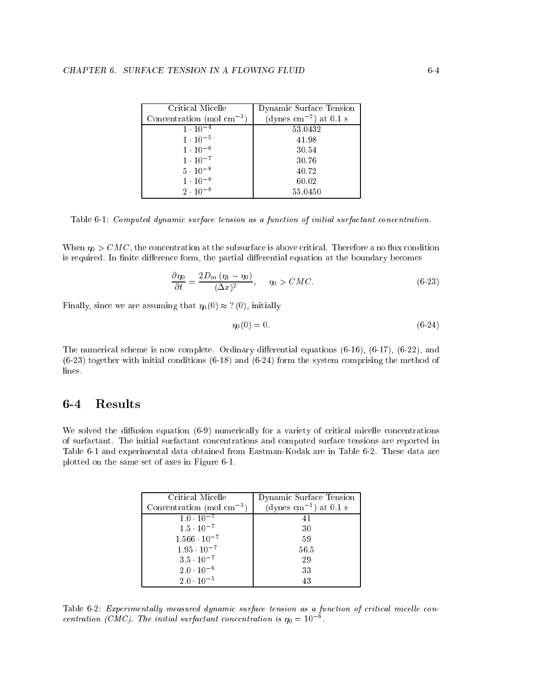| Critical Micelle                      | Dynamic Surface Tension            |
|---------------------------------------|------------------------------------|
| Concentration (mol $\text{cm}^{-3}$ ) | (dynes cm <sup>-2</sup> ) at 0.1 s |
| $1 \cdot 10^{-4}$                     | 53.0432                            |
| $1 \cdot 10^{-5}$                     | 41.98                              |
| $1 \cdot 10^{-6}$                     | 30.54                              |
| $1 \cdot 10^{-7}$                     | 30.76                              |
| $5 \cdot 10^{-8}$                     | 40.72                              |
| $1 \cdot 10^{-8}$                     | 60.02                              |
| $2 \cdot 10^{-8}$                     | 55.0450                            |

Table 6-1: Computed dynamic surface tension as a function of initial surfactant concentration.

When  $\eta_0 > CMC$ , the concentration at the subsurface is above critical. Therefore a no flux condition is required. In finite difference form, the partial differential equation at the boundary becomes

$$
\frac{\partial \eta_0}{\partial t} = \frac{2D_m \left(\eta_1 - \eta_0\right)}{(\Delta x)^2}, \quad \eta_0 > CMC. \tag{6-23}
$$

Finally, since we are assuming that  $\eta_0(0) \approx ?(0)$ , initially

$$
\eta_0(0) = 0.\tag{6-24}
$$

The numerical scheme is now complete. Ordinary differential equations  $(6-16)$ ,  $(6-17)$ ,  $(6-22)$ , and  $(6-23)$  together with initial conditions  $(6-18)$  and  $(6-24)$  form the system comprising the method of lines.

## $6-4$

We solved the diffusion equation  $(6-9)$  numerically for a variety of critical micelle concentrations of surfactant. The initial surfactant concentrations and computed surface tensions are reported in Table 6-1 and experimental data obtained from Eastman-Kodak are in Table 6-2. These data are plotted on the same set of axes in Figure 6-1.

| Critical Micelle                      | Dynamic Surface Tension            |
|---------------------------------------|------------------------------------|
| Concentration (mol $\text{cm}^{-3}$ ) | (dynes cm <sup>-1</sup> ) at 0.1 s |
| $1.0 \cdot 10^{-7}$                   | 41                                 |
| $1.5 \cdot 10^{-7}$                   | 30                                 |
| $1.566 \cdot 10^{-7}$                 | 59                                 |
| $1.95 \cdot 10^{-7}$                  | 56.5                               |
| $3.5 \cdot 10^{-7}$                   | 29                                 |
| $2.0 \cdot 10^{-6}$                   | 33                                 |
| $2.0 \cdot 10^{-5}$                   | 43                                 |

Table 6-2: Experimentally measured dynamic surface tension as a function of critical micelle concentration (CMC). The initial surfactant concentration is  $\eta_0 = 10^{-6}$ .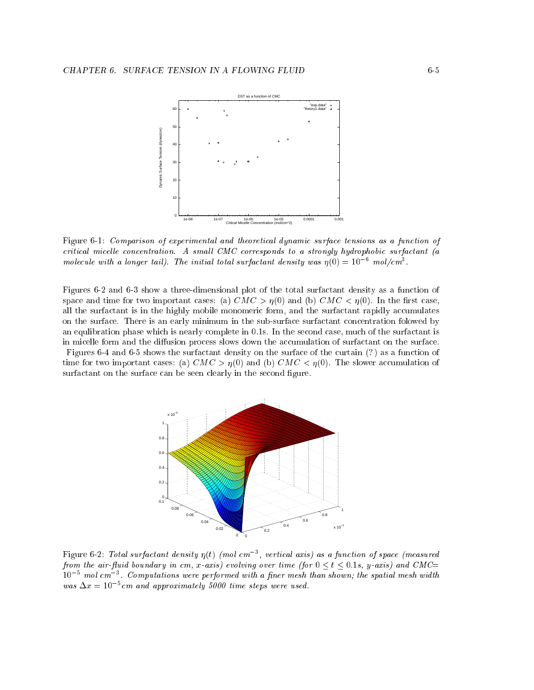

Figure 6-1: Comparison of experimental and theoretical dynamic surface tensions as a function of critical micelle concentration. A small CMC corresponds to a strongly hydrophobic surfactant (a molecule with a longer tail). The initial total surfactant density was  $\eta(0) \equiv 10-$  mol/cm3.

Figures 6-2 and 6-3 show a three-dimensional plot of the total surfactant density as a function of space and time for two important cases: (a)  $CMC > \eta(0)$  and (b)  $CMC < \eta(0)$ . In the first case, all the surfactant is in the highly mobile monomeric form, and the surfactant rapidly accumulates on the surface. There is an early minimum in the sub-surface surfactant concentration folowed by an equilibration phase which is nearly complete in 0.1s. In the second case, much of the surfactant is in micelle form and the diffusion process slows down the accumulation of surfactant on the surface.

Figures 6-4 and 6-5 shows the surfactant density on the surface of the curtain  $(?)$  as a function of time for two important cases: (a)  $CMC > \eta(0)$  and (b)  $CMC < \eta(0)$ . The slower accumulation of surfactant on the surface can be seen clearly in the second figure.



 $\bf r$ igure  $\bf 0$ -2: Total surfactant density  $\eta(t)$  (mol cm $\gamma$  , vertical axis) as a function of space (measured from the air-fluid boundary in cm, x-axis) evolving over time (for  $0 \le t \le 0.1$ s, y-axis) and CMC= 105 mol cm3 . Computations were performed with <sup>a</sup> ner mesh than shown; the spatial mesh width was  $\Delta x =$  10  $^{\circ}$  cm and approximately 5000 time steps were used.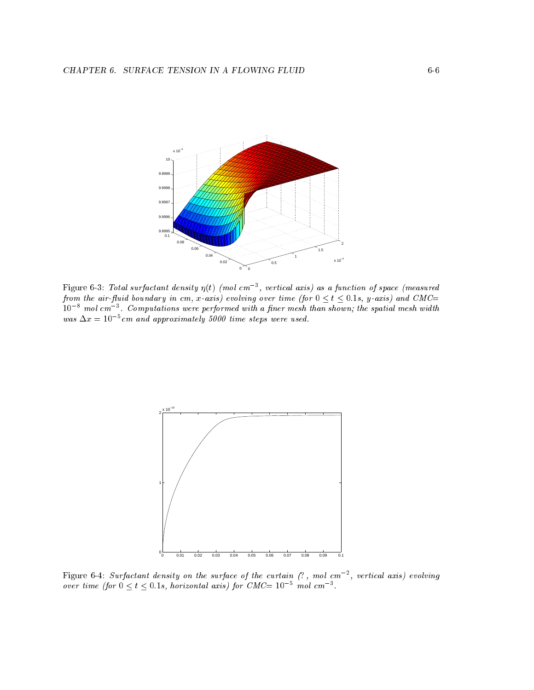

 $\bf r$ igure  $\bf o$ -3: Total surfactant density  $\eta(t)$  (mol cm $\gamma$  , vertical axis) as a function of space (measured from the air-fluid boundary in cm, x-axis) evolving over time (for  $0 \lt t \lt 0.1$ s, y-axis) and CMC= 108 mol cm3 . Computations were performed with a ner mesh than shown; the spatial mesh width was  $\Delta x =$  10  $^{\circ}$  cm and approximately 5000 time steps were used.



 ${\tt Figure~6-4:}$  Surfactant density on the surface of the curtain  $(\colon,\ m$ ol cm  $^{-},$  vertical axis) evolving over time (for  $0 \leq t \leq 0.1$ s, horizontal axis) for  $C$ MC= 10  $^{-1}$  mol cm  $^{-1}$ .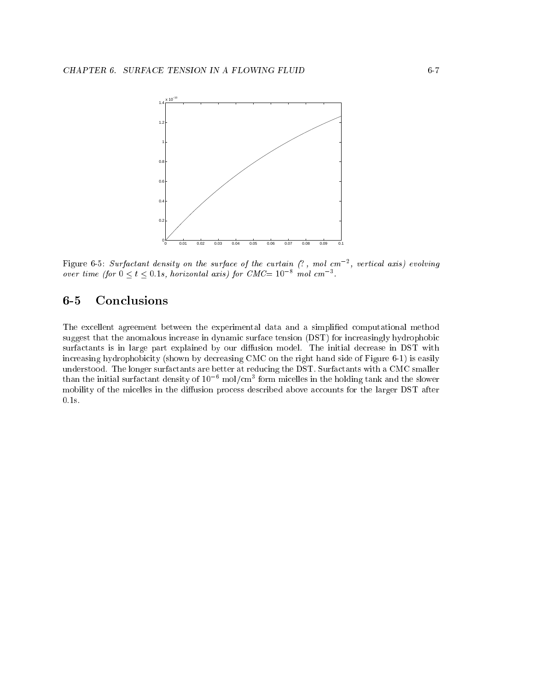

Figure 6-5: Surfactant density on the surface of the curtain (, mol cm2 , vertical axis) evolving over time (for  $0 \leq t \leq 0.1$ s, horizontal axis) for  $C$ MC= 10 and cm $3$ .

## 6-5 Conclusions

The excellent agreement between the experimental data and a simplied computational method suggest that the anomalous increase in dynamic surface tension (DST) for increasingly hydrophobic surfactants is in large part explained by our diffusion model. The initial decrease in DST with increasing hydrophobicity (shown by decreasing CMC on the right hand side of Figure 6-1) is easily understood. The longer surfactants are better at reducing the DST. Surfactants with a CMC smaller than the initial surfactant density of 10  $\,$  mol/cm3 form micelles in the holding tank and the slower mobility of the micelles in the diffusion process described above accounts for the larger DST after 0:1s.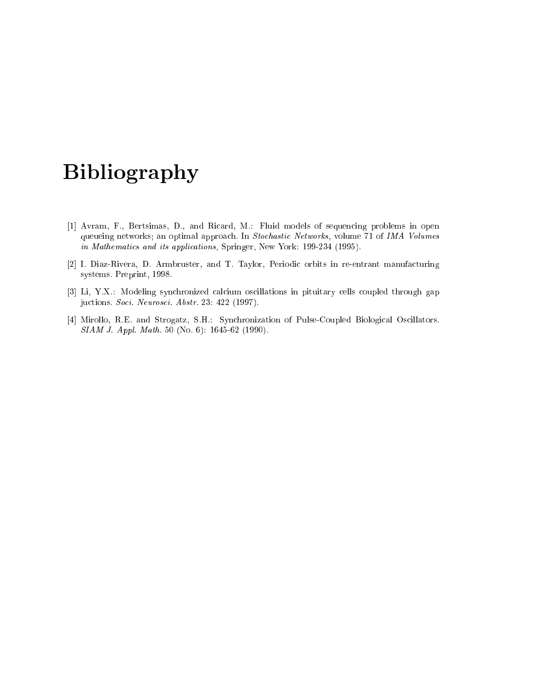# Bibliography

- [1] Avram, F., Bertsimas, D., and Ricard, M.: Fluid models of sequencing problems in open queueing networks; an optimal approach. In Stochastic Networks, volume 71 of IMA Volumes in Mathematics and its applications, Springer, New York: 199-234 (1995).
- [2] I. Diaz-Rivera, D. Armbruster, and T. Taylor, Periodic orbits in re-entrant manufacturing systems. Preprint, 1998.
- [3] Li, Y.X.: Modeling synchronized calcium oscillations in pituitary cells coupled through gap juctions. Soci. Neurosci. Abstr. 23: 422 (1997).
- [4] Mirollo, R.E. and Strogatz, S.H.: Synchronization of Pulse-Coupled Biological Oscillators. SIAM J. Appl. Math. 50 (No. 6): 1645-62 (1990).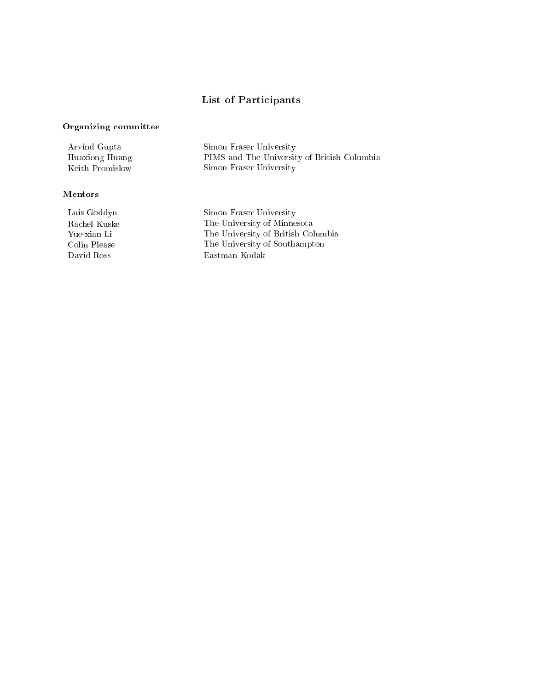## List of Participants

## Organizing committee

| Arvind Gupta    | Simon Fraser University                     |
|-----------------|---------------------------------------------|
| Huaxiong Huang  | PIMS and The University of British Columbia |
| Keith Promislow | Simon Fraser University                     |

## Mentors

Luis Goddyn Simon Fraser University Rachel Kuske The University of Minnesota Yue-xian Li The University of British Columbia Colin Please The University of Southampton David Ross Eastman Kodak